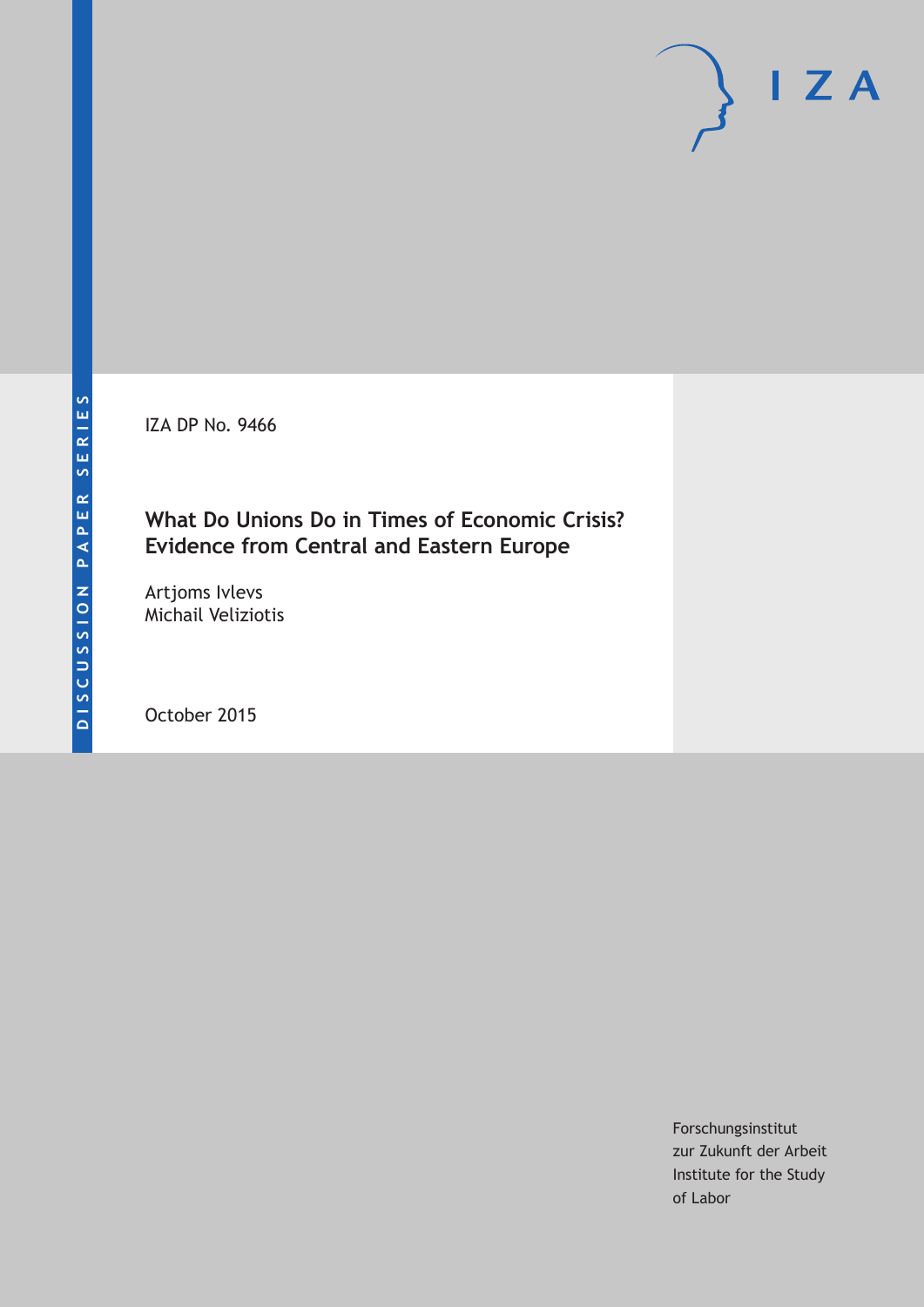IZA DP No. 9466

### **What Do Unions Do in Times of Economic Crisis? Evidence from Central and Eastern Europe**

Artjoms Ivlevs Michail Veliziotis

October 2015

Forschungsinstitut zur Zukunft der Arbeit Institute for the Study of Labor

 $I Z A$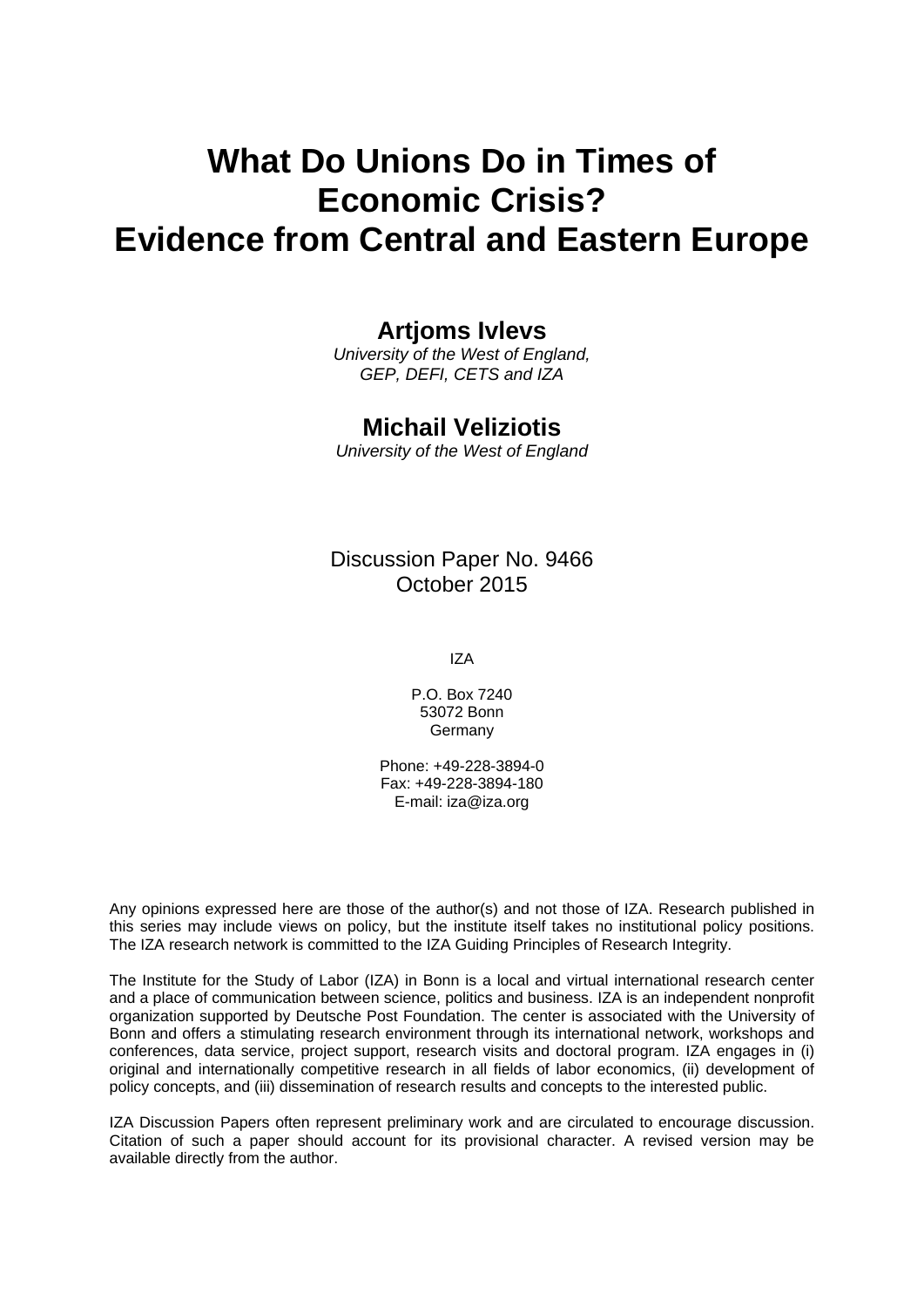# **What Do Unions Do in Times of Economic Crisis? Evidence from Central and Eastern Europe**

### **Artjoms Ivlevs**

*University of the West of England, GEP, DEFI, CETS and IZA* 

### **Michail Veliziotis**

*University of the West of England* 

Discussion Paper No. 9466 October 2015

IZA

P.O. Box 7240 53072 Bonn Germany

Phone: +49-228-3894-0 Fax: +49-228-3894-180 E-mail: iza@iza.org

Any opinions expressed here are those of the author(s) and not those of IZA. Research published in this series may include views on policy, but the institute itself takes no institutional policy positions. The IZA research network is committed to the IZA Guiding Principles of Research Integrity.

The Institute for the Study of Labor (IZA) in Bonn is a local and virtual international research center and a place of communication between science, politics and business. IZA is an independent nonprofit organization supported by Deutsche Post Foundation. The center is associated with the University of Bonn and offers a stimulating research environment through its international network, workshops and conferences, data service, project support, research visits and doctoral program. IZA engages in (i) original and internationally competitive research in all fields of labor economics, (ii) development of policy concepts, and (iii) dissemination of research results and concepts to the interested public.

IZA Discussion Papers often represent preliminary work and are circulated to encourage discussion. Citation of such a paper should account for its provisional character. A revised version may be available directly from the author.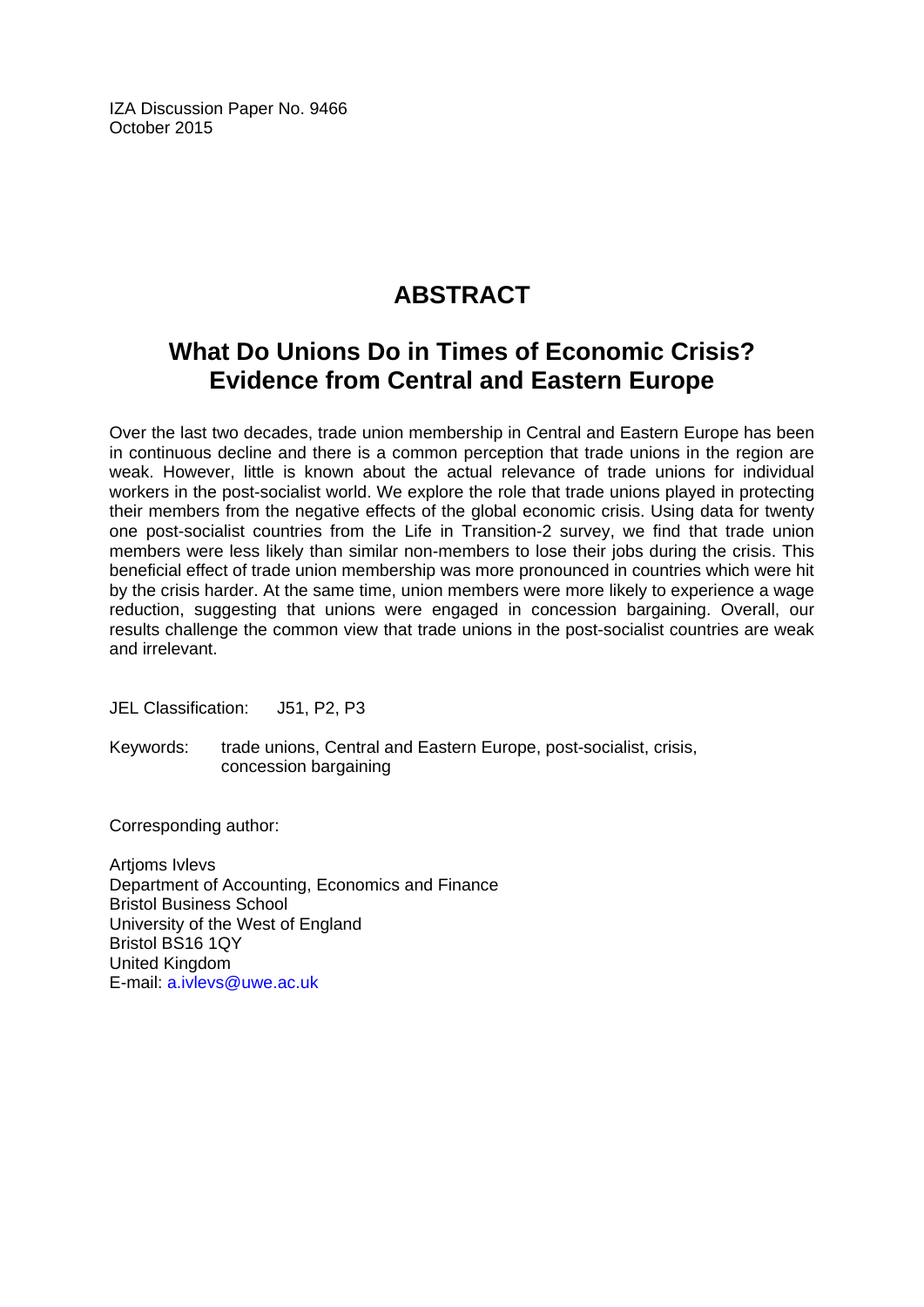IZA Discussion Paper No. 9466 October 2015

# **ABSTRACT**

# **What Do Unions Do in Times of Economic Crisis? Evidence from Central and Eastern Europe**

Over the last two decades, trade union membership in Central and Eastern Europe has been in continuous decline and there is a common perception that trade unions in the region are weak. However, little is known about the actual relevance of trade unions for individual workers in the post-socialist world. We explore the role that trade unions played in protecting their members from the negative effects of the global economic crisis. Using data for twenty one post-socialist countries from the Life in Transition-2 survey, we find that trade union members were less likely than similar non-members to lose their jobs during the crisis. This beneficial effect of trade union membership was more pronounced in countries which were hit by the crisis harder. At the same time, union members were more likely to experience a wage reduction, suggesting that unions were engaged in concession bargaining. Overall, our results challenge the common view that trade unions in the post-socialist countries are weak and irrelevant.

JEL Classification: J51, P2, P3

Keywords: trade unions, Central and Eastern Europe, post-socialist, crisis, concession bargaining

Corresponding author:

**Artioms Ivlevs** Department of Accounting, Economics and Finance Bristol Business School University of the West of England Bristol BS16 1QY United Kingdom E-mail: a.ivlevs@uwe.ac.uk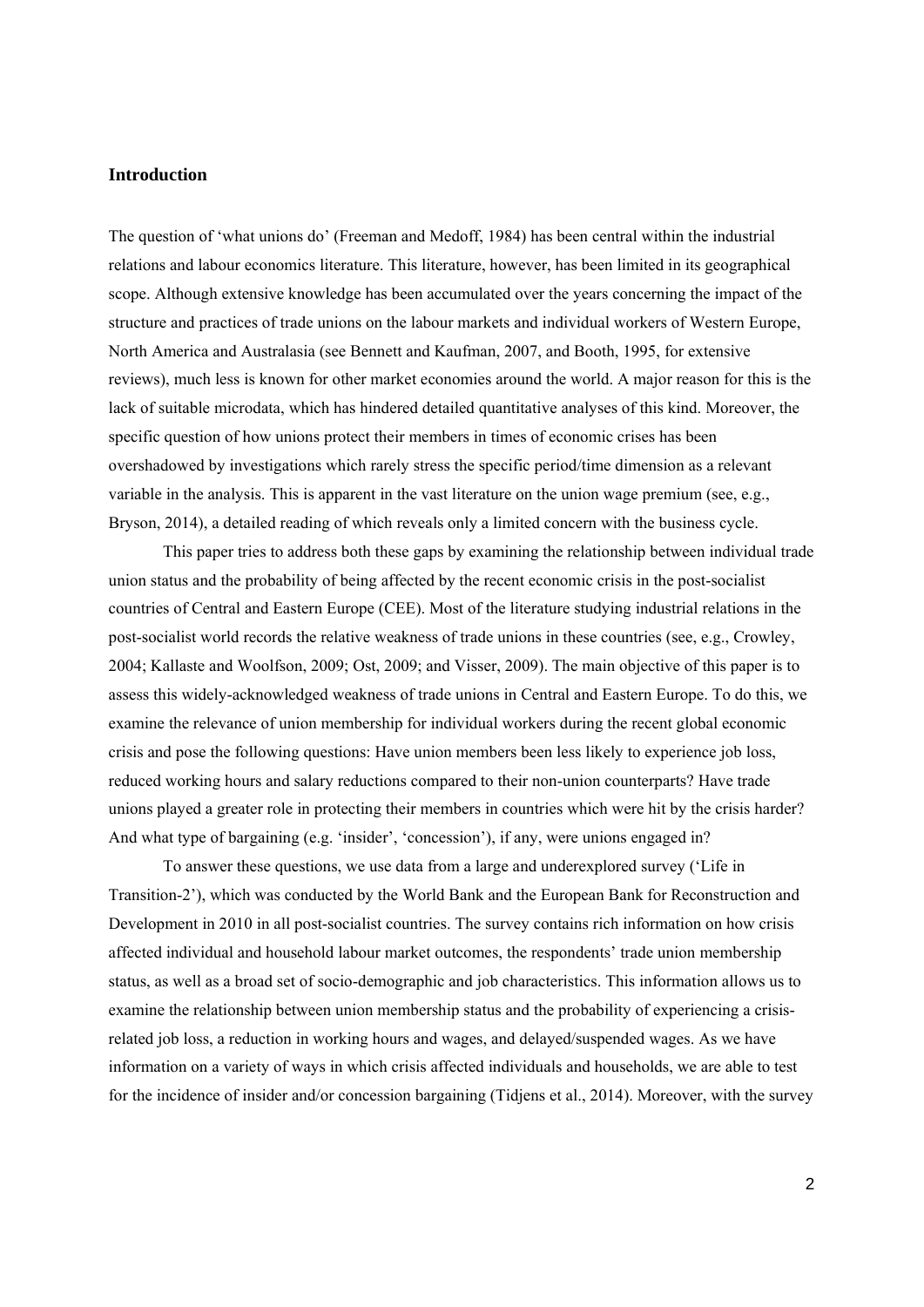#### **Introduction**

The question of 'what unions do' (Freeman and Medoff, 1984) has been central within the industrial relations and labour economics literature. This literature, however, has been limited in its geographical scope. Although extensive knowledge has been accumulated over the years concerning the impact of the structure and practices of trade unions on the labour markets and individual workers of Western Europe, North America and Australasia (see Bennett and Kaufman, 2007, and Booth, 1995, for extensive reviews), much less is known for other market economies around the world. A major reason for this is the lack of suitable microdata, which has hindered detailed quantitative analyses of this kind. Moreover, the specific question of how unions protect their members in times of economic crises has been overshadowed by investigations which rarely stress the specific period/time dimension as a relevant variable in the analysis. This is apparent in the vast literature on the union wage premium (see, e.g., Bryson, 2014), a detailed reading of which reveals only a limited concern with the business cycle.

This paper tries to address both these gaps by examining the relationship between individual trade union status and the probability of being affected by the recent economic crisis in the post-socialist countries of Central and Eastern Europe (CEE). Most of the literature studying industrial relations in the post-socialist world records the relative weakness of trade unions in these countries (see, e.g., Crowley, 2004; Kallaste and Woolfson, 2009; Ost, 2009; and Visser, 2009). The main objective of this paper is to assess this widely-acknowledged weakness of trade unions in Central and Eastern Europe. To do this, we examine the relevance of union membership for individual workers during the recent global economic crisis and pose the following questions: Have union members been less likely to experience job loss, reduced working hours and salary reductions compared to their non-union counterparts? Have trade unions played a greater role in protecting their members in countries which were hit by the crisis harder? And what type of bargaining (e.g. 'insider', 'concession'), if any, were unions engaged in?

To answer these questions, we use data from a large and underexplored survey ('Life in Transition-2'), which was conducted by the World Bank and the European Bank for Reconstruction and Development in 2010 in all post-socialist countries. The survey contains rich information on how crisis affected individual and household labour market outcomes, the respondents' trade union membership status, as well as a broad set of socio-demographic and job characteristics. This information allows us to examine the relationship between union membership status and the probability of experiencing a crisisrelated job loss, a reduction in working hours and wages, and delayed/suspended wages. As we have information on a variety of ways in which crisis affected individuals and households, we are able to test for the incidence of insider and/or concession bargaining (Tidjens et al., 2014). Moreover, with the survey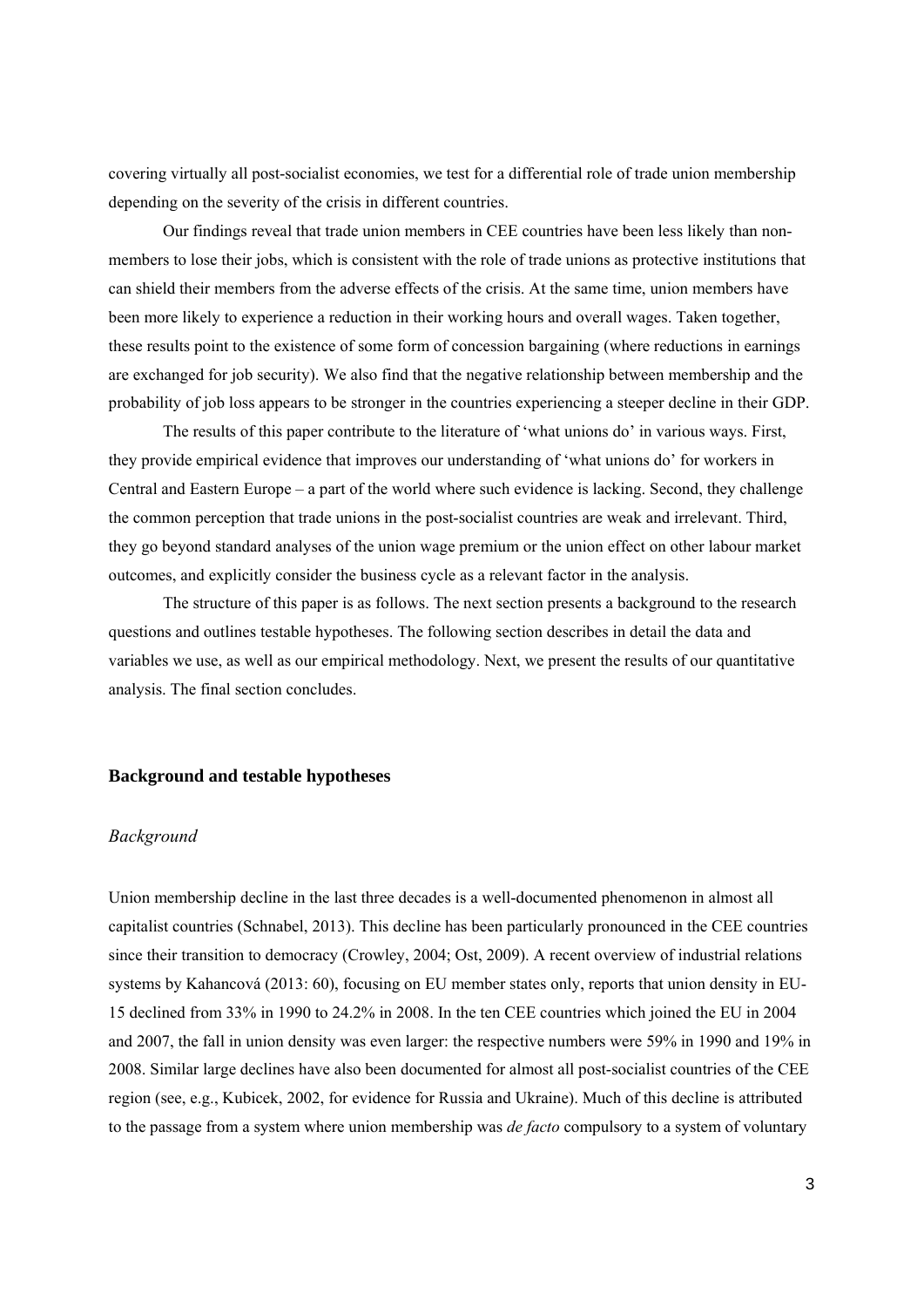covering virtually all post-socialist economies, we test for a differential role of trade union membership depending on the severity of the crisis in different countries.

Our findings reveal that trade union members in CEE countries have been less likely than nonmembers to lose their jobs, which is consistent with the role of trade unions as protective institutions that can shield their members from the adverse effects of the crisis. At the same time, union members have been more likely to experience a reduction in their working hours and overall wages. Taken together, these results point to the existence of some form of concession bargaining (where reductions in earnings are exchanged for job security). We also find that the negative relationship between membership and the probability of job loss appears to be stronger in the countries experiencing a steeper decline in their GDP.

The results of this paper contribute to the literature of 'what unions do' in various ways. First, they provide empirical evidence that improves our understanding of 'what unions do' for workers in Central and Eastern Europe – a part of the world where such evidence is lacking. Second, they challenge the common perception that trade unions in the post-socialist countries are weak and irrelevant. Third, they go beyond standard analyses of the union wage premium or the union effect on other labour market outcomes, and explicitly consider the business cycle as a relevant factor in the analysis.

The structure of this paper is as follows. The next section presents a background to the research questions and outlines testable hypotheses. The following section describes in detail the data and variables we use, as well as our empirical methodology. Next, we present the results of our quantitative analysis. The final section concludes.

#### **Background and testable hypotheses**

#### *Background*

Union membership decline in the last three decades is a well-documented phenomenon in almost all capitalist countries (Schnabel, 2013). This decline has been particularly pronounced in the CEE countries since their transition to democracy (Crowley, 2004; Ost, 2009). A recent overview of industrial relations systems by Kahancová (2013: 60), focusing on EU member states only, reports that union density in EU-15 declined from 33% in 1990 to 24.2% in 2008. In the ten CEE countries which joined the EU in 2004 and 2007, the fall in union density was even larger: the respective numbers were 59% in 1990 and 19% in 2008. Similar large declines have also been documented for almost all post-socialist countries of the CEE region (see, e.g., Kubicek, 2002, for evidence for Russia and Ukraine). Much of this decline is attributed to the passage from a system where union membership was *de facto* compulsory to a system of voluntary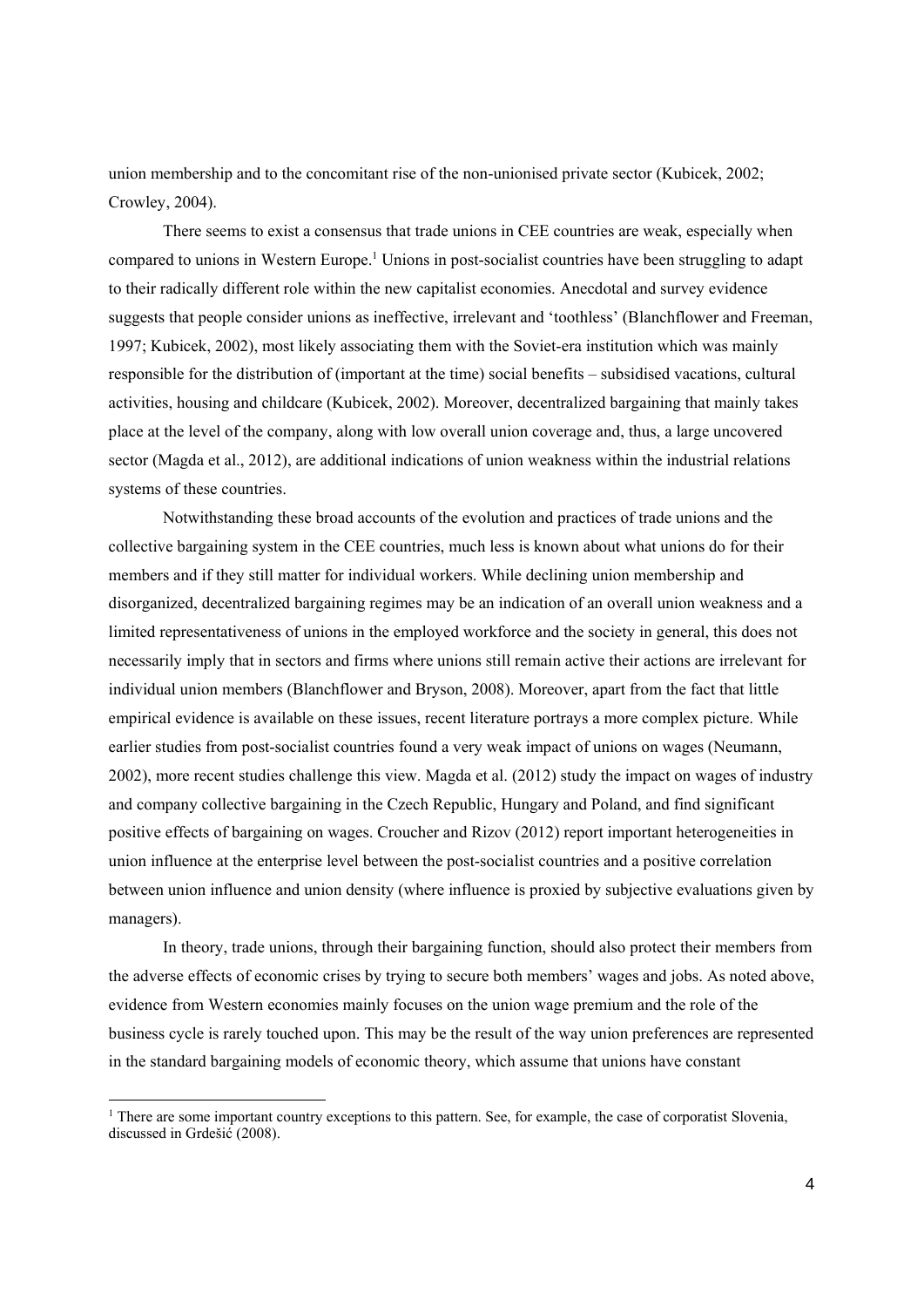union membership and to the concomitant rise of the non-unionised private sector (Kubicek, 2002; Crowley, 2004).

There seems to exist a consensus that trade unions in CEE countries are weak, especially when compared to unions in Western Europe.<sup>1</sup> Unions in post-socialist countries have been struggling to adapt to their radically different role within the new capitalist economies. Anecdotal and survey evidence suggests that people consider unions as ineffective, irrelevant and 'toothless' (Blanchflower and Freeman, 1997; Kubicek, 2002), most likely associating them with the Soviet-era institution which was mainly responsible for the distribution of (important at the time) social benefits – subsidised vacations, cultural activities, housing and childcare (Kubicek, 2002). Moreover, decentralized bargaining that mainly takes place at the level of the company, along with low overall union coverage and, thus, a large uncovered sector (Magda et al., 2012), are additional indications of union weakness within the industrial relations systems of these countries.

Notwithstanding these broad accounts of the evolution and practices of trade unions and the collective bargaining system in the CEE countries, much less is known about what unions do for their members and if they still matter for individual workers. While declining union membership and disorganized, decentralized bargaining regimes may be an indication of an overall union weakness and a limited representativeness of unions in the employed workforce and the society in general, this does not necessarily imply that in sectors and firms where unions still remain active their actions are irrelevant for individual union members (Blanchflower and Bryson, 2008). Moreover, apart from the fact that little empirical evidence is available on these issues, recent literature portrays a more complex picture. While earlier studies from post-socialist countries found a very weak impact of unions on wages (Neumann, 2002), more recent studies challenge this view. Magda et al. (2012) study the impact on wages of industry and company collective bargaining in the Czech Republic, Hungary and Poland, and find significant positive effects of bargaining on wages. Croucher and Rizov (2012) report important heterogeneities in union influence at the enterprise level between the post-socialist countries and a positive correlation between union influence and union density (where influence is proxied by subjective evaluations given by managers).

In theory, trade unions, through their bargaining function, should also protect their members from the adverse effects of economic crises by trying to secure both members' wages and jobs. As noted above, evidence from Western economies mainly focuses on the union wage premium and the role of the business cycle is rarely touched upon. This may be the result of the way union preferences are represented in the standard bargaining models of economic theory, which assume that unions have constant

1

<sup>&</sup>lt;sup>1</sup> There are some important country exceptions to this pattern. See, for example, the case of corporatist Slovenia, discussed in Grdešić (2008).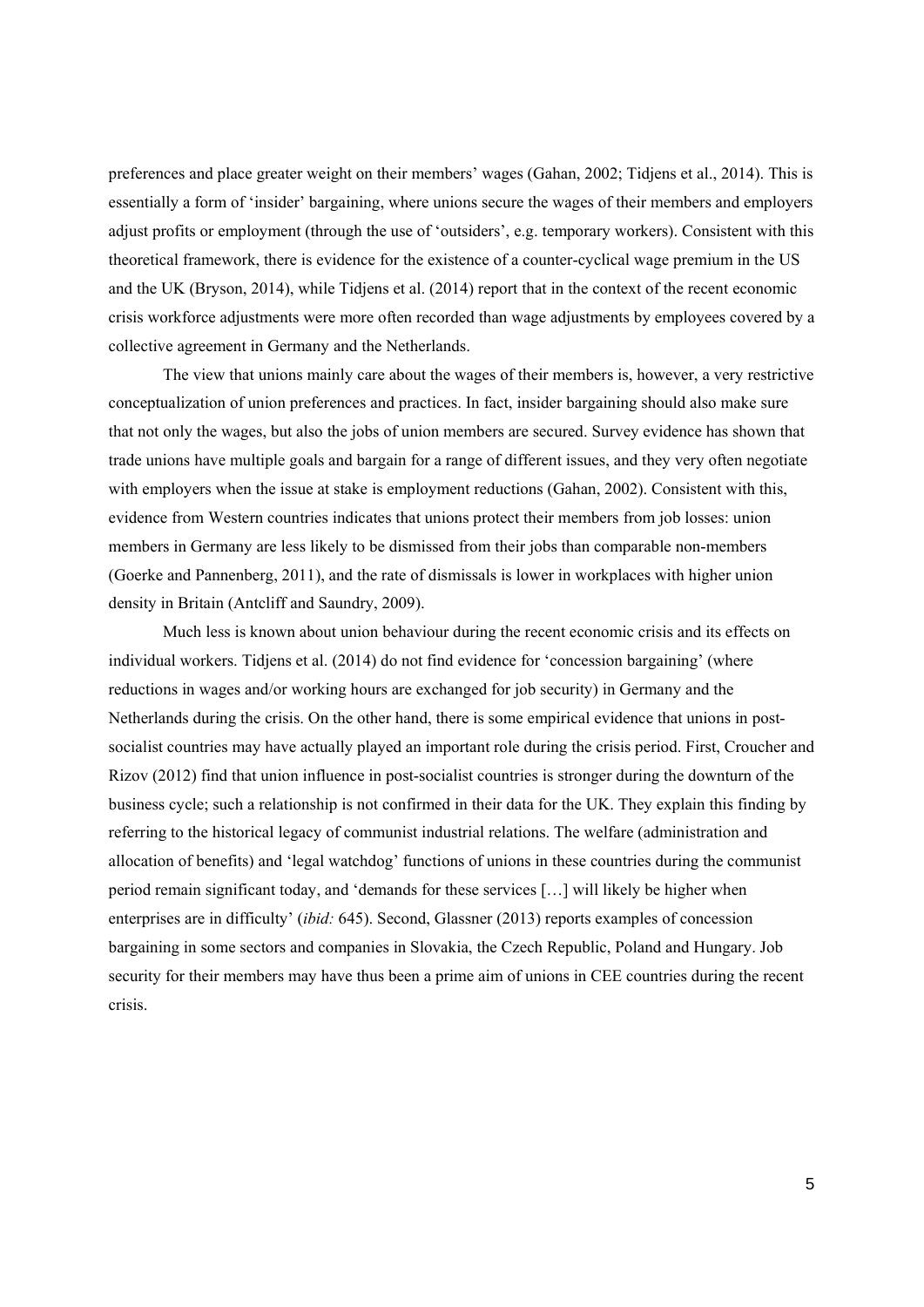preferences and place greater weight on their members' wages (Gahan, 2002; Tidjens et al., 2014). This is essentially a form of 'insider' bargaining, where unions secure the wages of their members and employers adjust profits or employment (through the use of 'outsiders', e.g. temporary workers). Consistent with this theoretical framework, there is evidence for the existence of a counter-cyclical wage premium in the US and the UK (Bryson, 2014), while Tidjens et al. (2014) report that in the context of the recent economic crisis workforce adjustments were more often recorded than wage adjustments by employees covered by a collective agreement in Germany and the Netherlands.

The view that unions mainly care about the wages of their members is, however, a very restrictive conceptualization of union preferences and practices. In fact, insider bargaining should also make sure that not only the wages, but also the jobs of union members are secured. Survey evidence has shown that trade unions have multiple goals and bargain for a range of different issues, and they very often negotiate with employers when the issue at stake is employment reductions (Gahan, 2002). Consistent with this, evidence from Western countries indicates that unions protect their members from job losses: union members in Germany are less likely to be dismissed from their jobs than comparable non-members (Goerke and Pannenberg, 2011), and the rate of dismissals is lower in workplaces with higher union density in Britain (Antcliff and Saundry, 2009).

Much less is known about union behaviour during the recent economic crisis and its effects on individual workers. Tidjens et al. (2014) do not find evidence for 'concession bargaining' (where reductions in wages and/or working hours are exchanged for job security) in Germany and the Netherlands during the crisis. On the other hand, there is some empirical evidence that unions in postsocialist countries may have actually played an important role during the crisis period. First, Croucher and Rizov (2012) find that union influence in post-socialist countries is stronger during the downturn of the business cycle; such a relationship is not confirmed in their data for the UK. They explain this finding by referring to the historical legacy of communist industrial relations. The welfare (administration and allocation of benefits) and 'legal watchdog' functions of unions in these countries during the communist period remain significant today, and 'demands for these services […] will likely be higher when enterprises are in difficulty' (*ibid:* 645). Second, Glassner (2013) reports examples of concession bargaining in some sectors and companies in Slovakia, the Czech Republic, Poland and Hungary. Job security for their members may have thus been a prime aim of unions in CEE countries during the recent crisis.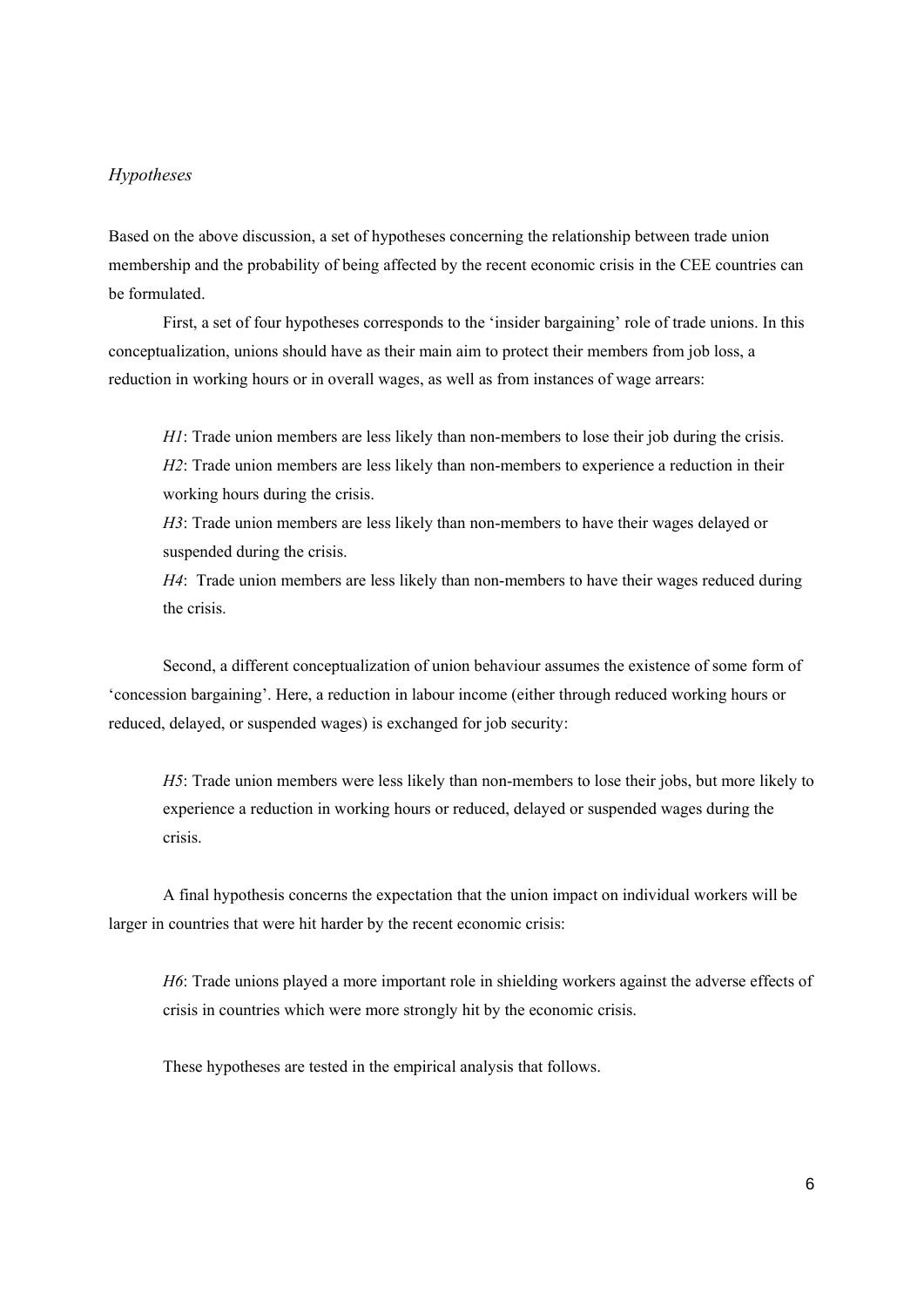#### *Hypotheses*

Based on the above discussion, a set of hypotheses concerning the relationship between trade union membership and the probability of being affected by the recent economic crisis in the CEE countries can be formulated.

First, a set of four hypotheses corresponds to the 'insider bargaining' role of trade unions. In this conceptualization, unions should have as their main aim to protect their members from job loss, a reduction in working hours or in overall wages, as well as from instances of wage arrears:

*H1*: Trade union members are less likely than non-members to lose their job during the crisis. *H2*: Trade union members are less likely than non-members to experience a reduction in their working hours during the crisis.

*H3*: Trade union members are less likely than non-members to have their wages delayed or suspended during the crisis.

*H4*: Trade union members are less likely than non-members to have their wages reduced during the crisis.

Second, a different conceptualization of union behaviour assumes the existence of some form of 'concession bargaining'. Here, a reduction in labour income (either through reduced working hours or reduced, delayed, or suspended wages) is exchanged for job security:

*H5*: Trade union members were less likely than non-members to lose their jobs, but more likely to experience a reduction in working hours or reduced, delayed or suspended wages during the crisis.

A final hypothesis concerns the expectation that the union impact on individual workers will be larger in countries that were hit harder by the recent economic crisis:

*H6*: Trade unions played a more important role in shielding workers against the adverse effects of crisis in countries which were more strongly hit by the economic crisis.

These hypotheses are tested in the empirical analysis that follows.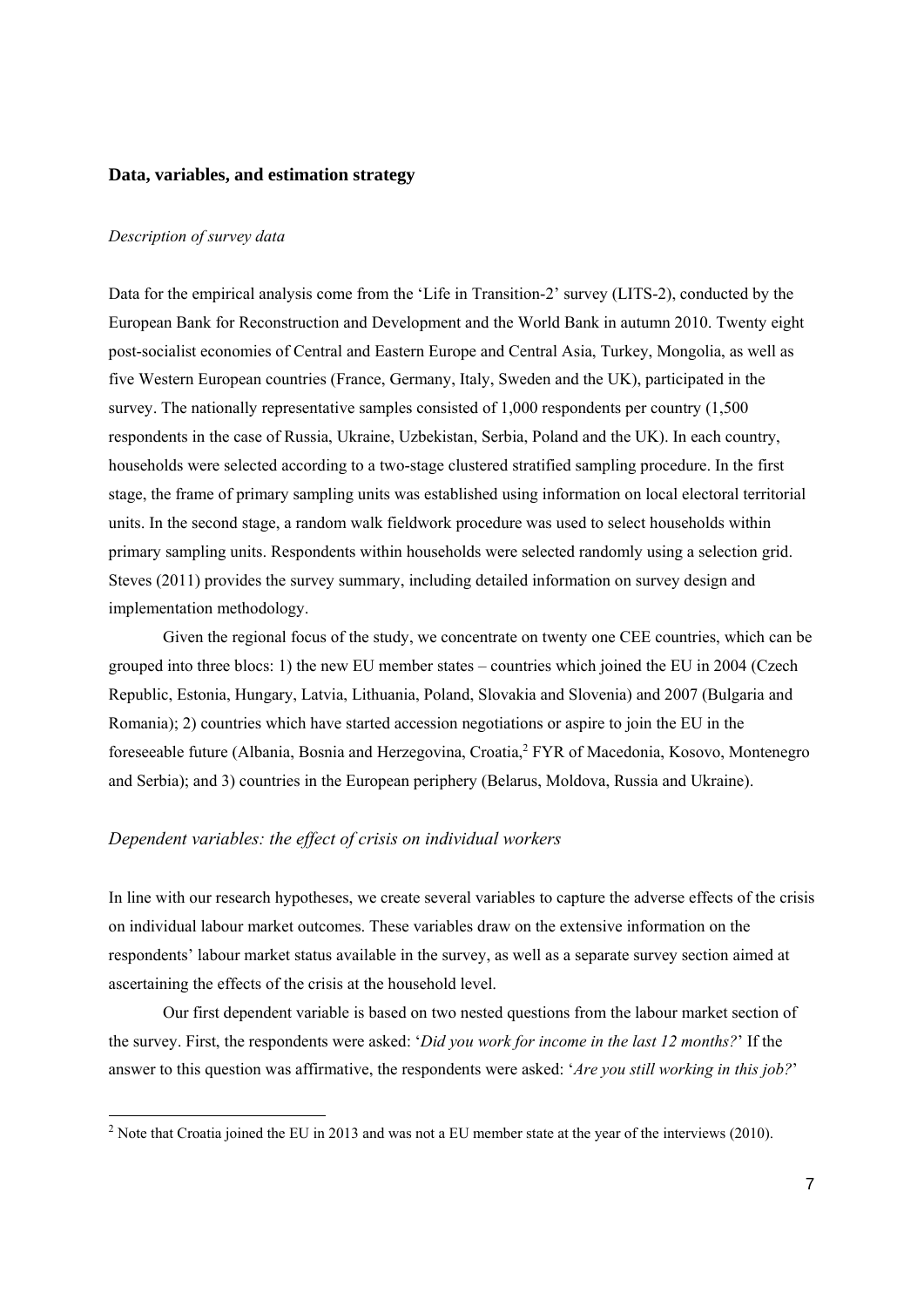#### **Data, variables, and estimation strategy**

#### *Description of survey data*

1

Data for the empirical analysis come from the 'Life in Transition-2' survey (LITS-2), conducted by the European Bank for Reconstruction and Development and the World Bank in autumn 2010. Twenty eight post-socialist economies of Central and Eastern Europe and Central Asia, Turkey, Mongolia, as well as five Western European countries (France, Germany, Italy, Sweden and the UK), participated in the survey. The nationally representative samples consisted of 1,000 respondents per country (1,500 respondents in the case of Russia, Ukraine, Uzbekistan, Serbia, Poland and the UK). In each country, households were selected according to a two-stage clustered stratified sampling procedure. In the first stage, the frame of primary sampling units was established using information on local electoral territorial units. In the second stage, a random walk fieldwork procedure was used to select households within primary sampling units. Respondents within households were selected randomly using a selection grid. Steves (2011) provides the survey summary, including detailed information on survey design and implementation methodology.

Given the regional focus of the study, we concentrate on twenty one CEE countries, which can be grouped into three blocs: 1) the new EU member states – countries which joined the EU in 2004 (Czech Republic, Estonia, Hungary, Latvia, Lithuania, Poland, Slovakia and Slovenia) and 2007 (Bulgaria and Romania); 2) countries which have started accession negotiations or aspire to join the EU in the foreseeable future (Albania, Bosnia and Herzegovina, Croatia,<sup>2</sup> FYR of Macedonia, Kosovo, Montenegro and Serbia); and 3) countries in the European periphery (Belarus, Moldova, Russia and Ukraine).

#### *Dependent variables: the effect of crisis on individual workers*

In line with our research hypotheses, we create several variables to capture the adverse effects of the crisis on individual labour market outcomes. These variables draw on the extensive information on the respondents' labour market status available in the survey, as well as a separate survey section aimed at ascertaining the effects of the crisis at the household level.

Our first dependent variable is based on two nested questions from the labour market section of the survey. First, the respondents were asked: '*Did you work for income in the last 12 months?*' If the answer to this question was affirmative, the respondents were asked: '*Are you still working in this job?*'

<sup>&</sup>lt;sup>2</sup> Note that Croatia joined the EU in 2013 and was not a EU member state at the year of the interviews (2010).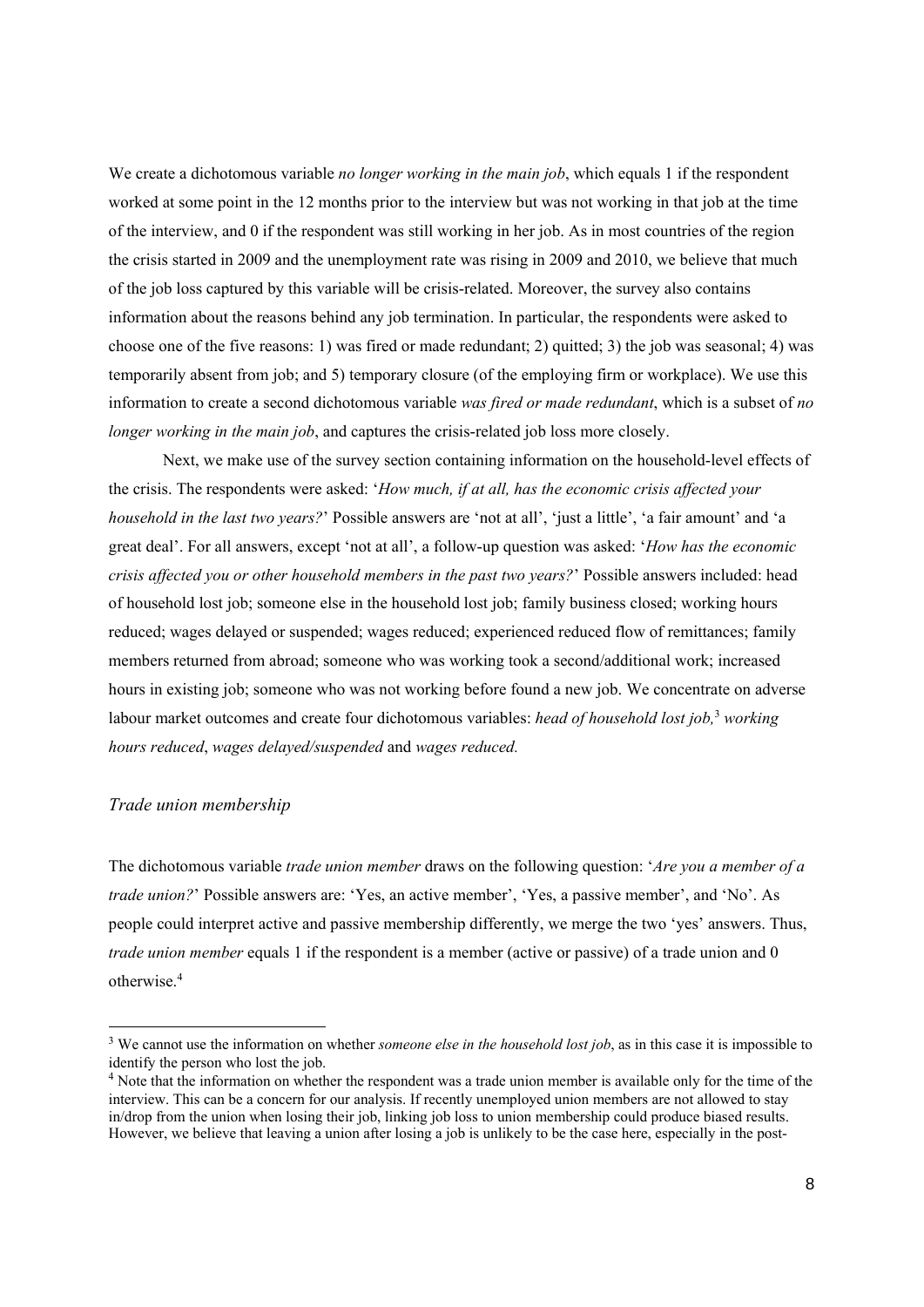We create a dichotomous variable *no longer working in the main job*, which equals 1 if the respondent worked at some point in the 12 months prior to the interview but was not working in that job at the time of the interview, and 0 if the respondent was still working in her job. As in most countries of the region the crisis started in 2009 and the unemployment rate was rising in 2009 and 2010, we believe that much of the job loss captured by this variable will be crisis-related. Moreover, the survey also contains information about the reasons behind any job termination. In particular, the respondents were asked to choose one of the five reasons: 1) was fired or made redundant; 2) quitted; 3) the job was seasonal; 4) was temporarily absent from job; and 5) temporary closure (of the employing firm or workplace). We use this information to create a second dichotomous variable *was fired or made redundant*, which is a subset of *no longer working in the main job*, and captures the crisis-related job loss more closely.

Next, we make use of the survey section containing information on the household-level effects of the crisis. The respondents were asked: '*How much, if at all, has the economic crisis affected your household in the last two years?*' Possible answers are 'not at all', 'just a little', 'a fair amount' and 'a great deal'. For all answers, except 'not at all', a follow-up question was asked: '*How has the economic crisis affected you or other household members in the past two years?*' Possible answers included: head of household lost job; someone else in the household lost job; family business closed; working hours reduced; wages delayed or suspended; wages reduced; experienced reduced flow of remittances; family members returned from abroad; someone who was working took a second/additional work; increased hours in existing job; someone who was not working before found a new job. We concentrate on adverse labour market outcomes and create four dichotomous variables: *head of household lost job*,<sup>3</sup> working *hours reduced*, *wages delayed/suspended* and *wages reduced.* 

#### *Trade union membership*

1

The dichotomous variable *trade union member* draws on the following question: '*Are you a member of a trade union?*' Possible answers are: 'Yes, an active member', 'Yes, a passive member', and 'No'. As people could interpret active and passive membership differently, we merge the two 'yes' answers. Thus, *trade union member* equals 1 if the respondent is a member (active or passive) of a trade union and 0 otherwise.4

<sup>&</sup>lt;sup>3</sup> We cannot use the information on whether *someone else in the household lost job*, as in this case it is impossible to identify the person who lost the job.

 $4$  Note that the information on whether the respondent was a trade union member is available only for the time of the interview. This can be a concern for our analysis. If recently unemployed union members are not allowed to stay in/drop from the union when losing their job, linking job loss to union membership could produce biased results. However, we believe that leaving a union after losing a job is unlikely to be the case here, especially in the post-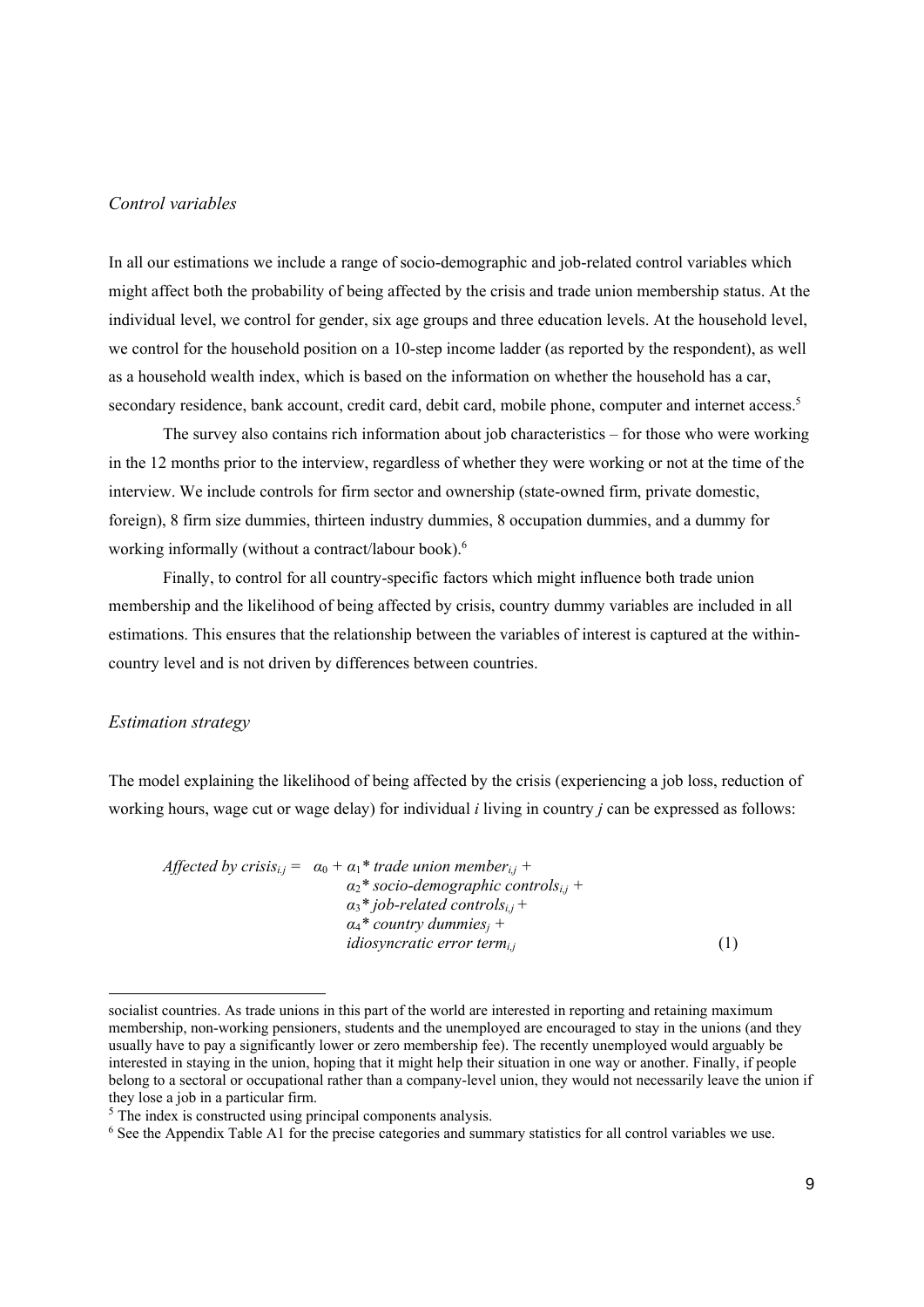#### *Control variables*

In all our estimations we include a range of socio-demographic and job-related control variables which might affect both the probability of being affected by the crisis and trade union membership status. At the individual level, we control for gender, six age groups and three education levels. At the household level, we control for the household position on a 10-step income ladder (as reported by the respondent), as well as a household wealth index, which is based on the information on whether the household has a car, secondary residence, bank account, credit card, debit card, mobile phone, computer and internet access.<sup>5</sup>

The survey also contains rich information about job characteristics – for those who were working in the 12 months prior to the interview, regardless of whether they were working or not at the time of the interview. We include controls for firm sector and ownership (state-owned firm, private domestic, foreign), 8 firm size dummies, thirteen industry dummies, 8 occupation dummies, and a dummy for working informally (without a contract/labour book).<sup>6</sup>

Finally, to control for all country-specific factors which might influence both trade union membership and the likelihood of being affected by crisis, country dummy variables are included in all estimations. This ensures that the relationship between the variables of interest is captured at the withincountry level and is not driven by differences between countries.

#### *Estimation strategy*

1

The model explaining the likelihood of being affected by the crisis (experiencing a job loss, reduction of working hours, wage cut or wage delay) for individual *i* living in country *j* can be expressed as follows:

*Affected by crisis<sub>i.j</sub>* =  $\alpha_0 + \alpha_1^*$  *trade union member<sub>i,j</sub>* +  $a_2^*$  socio-demographic controls<sub>i,j</sub> +  $a_3$ <sup>\*</sup> job-related controls<sub>i,j</sub> +  $a_4^*$  *country dummies<sub>i</sub>* + *idiosyncratic error term<sub>ij</sub>* (1)

socialist countries. As trade unions in this part of the world are interested in reporting and retaining maximum membership, non-working pensioners, students and the unemployed are encouraged to stay in the unions (and they usually have to pay a significantly lower or zero membership fee). The recently unemployed would arguably be interested in staying in the union, hoping that it might help their situation in one way or another. Finally, if people belong to a sectoral or occupational rather than a company-level union, they would not necessarily leave the union if they lose a job in a particular firm.

<sup>&</sup>lt;sup>5</sup> The index is constructed using principal components analysis.

<sup>&</sup>lt;sup>6</sup> See the Appendix Table A1 for the precise categories and summary statistics for all control variables we use.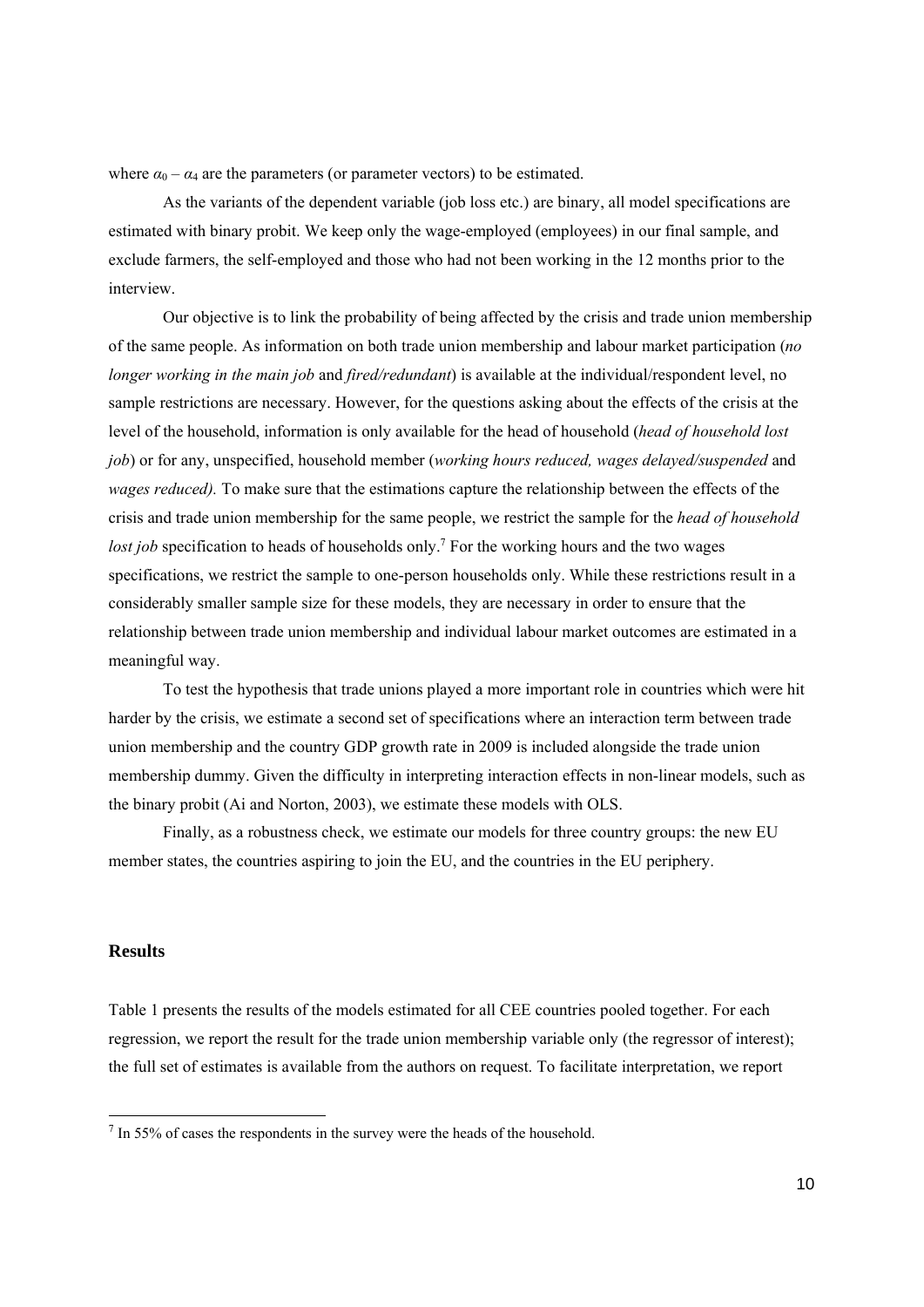where  $\alpha_0 - \alpha_4$  are the parameters (or parameter vectors) to be estimated.

As the variants of the dependent variable (job loss etc.) are binary, all model specifications are estimated with binary probit. We keep only the wage-employed (employees) in our final sample, and exclude farmers, the self-employed and those who had not been working in the 12 months prior to the interview.

Our objective is to link the probability of being affected by the crisis and trade union membership of the same people. As information on both trade union membership and labour market participation (*no longer working in the main job* and *fired/redundant*) is available at the individual/respondent level, no sample restrictions are necessary. However, for the questions asking about the effects of the crisis at the level of the household, information is only available for the head of household (*head of household lost job*) or for any, unspecified, household member (*working hours reduced, wages delayed/suspended* and *wages reduced).* To make sure that the estimations capture the relationship between the effects of the crisis and trade union membership for the same people, we restrict the sample for the *head of household*  lost job specification to heads of households only.<sup>7</sup> For the working hours and the two wages specifications, we restrict the sample to one-person households only. While these restrictions result in a considerably smaller sample size for these models, they are necessary in order to ensure that the relationship between trade union membership and individual labour market outcomes are estimated in a meaningful way.

To test the hypothesis that trade unions played a more important role in countries which were hit harder by the crisis, we estimate a second set of specifications where an interaction term between trade union membership and the country GDP growth rate in 2009 is included alongside the trade union membership dummy. Given the difficulty in interpreting interaction effects in non-linear models, such as the binary probit (Ai and Norton, 2003), we estimate these models with OLS.

Finally, as a robustness check, we estimate our models for three country groups: the new EU member states, the countries aspiring to join the EU, and the countries in the EU periphery.

#### **Results**

1

Table 1 presents the results of the models estimated for all CEE countries pooled together. For each regression, we report the result for the trade union membership variable only (the regressor of interest); the full set of estimates is available from the authors on request. To facilitate interpretation, we report

 $<sup>7</sup>$  In 55% of cases the respondents in the survey were the heads of the household.</sup>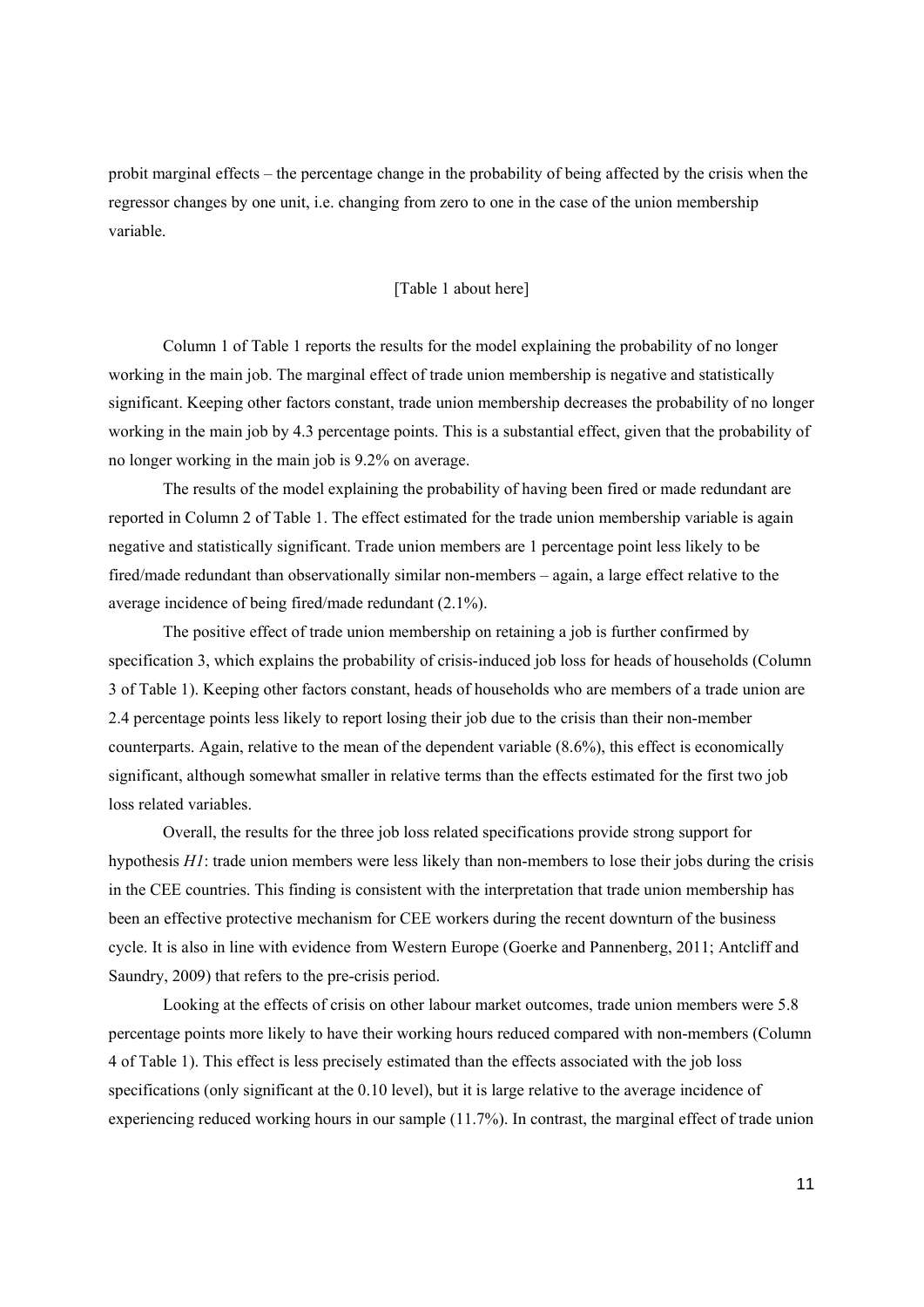probit marginal effects – the percentage change in the probability of being affected by the crisis when the regressor changes by one unit, i.e. changing from zero to one in the case of the union membership variable.

#### [Table 1 about here]

Column 1 of Table 1 reports the results for the model explaining the probability of no longer working in the main job. The marginal effect of trade union membership is negative and statistically significant. Keeping other factors constant, trade union membership decreases the probability of no longer working in the main job by 4.3 percentage points. This is a substantial effect, given that the probability of no longer working in the main job is 9.2% on average.

The results of the model explaining the probability of having been fired or made redundant are reported in Column 2 of Table 1. The effect estimated for the trade union membership variable is again negative and statistically significant. Trade union members are 1 percentage point less likely to be fired/made redundant than observationally similar non-members – again, a large effect relative to the average incidence of being fired/made redundant (2.1%).

The positive effect of trade union membership on retaining a job is further confirmed by specification 3, which explains the probability of crisis-induced job loss for heads of households (Column 3 of Table 1). Keeping other factors constant, heads of households who are members of a trade union are 2.4 percentage points less likely to report losing their job due to the crisis than their non-member counterparts. Again, relative to the mean of the dependent variable (8.6%), this effect is economically significant, although somewhat smaller in relative terms than the effects estimated for the first two job loss related variables.

Overall, the results for the three job loss related specifications provide strong support for hypothesis *H1*: trade union members were less likely than non-members to lose their jobs during the crisis in the CEE countries. This finding is consistent with the interpretation that trade union membership has been an effective protective mechanism for CEE workers during the recent downturn of the business cycle. It is also in line with evidence from Western Europe (Goerke and Pannenberg, 2011; Antcliff and Saundry, 2009) that refers to the pre-crisis period.

Looking at the effects of crisis on other labour market outcomes, trade union members were 5.8 percentage points more likely to have their working hours reduced compared with non-members (Column 4 of Table 1). This effect is less precisely estimated than the effects associated with the job loss specifications (only significant at the 0.10 level), but it is large relative to the average incidence of experiencing reduced working hours in our sample (11.7%). In contrast, the marginal effect of trade union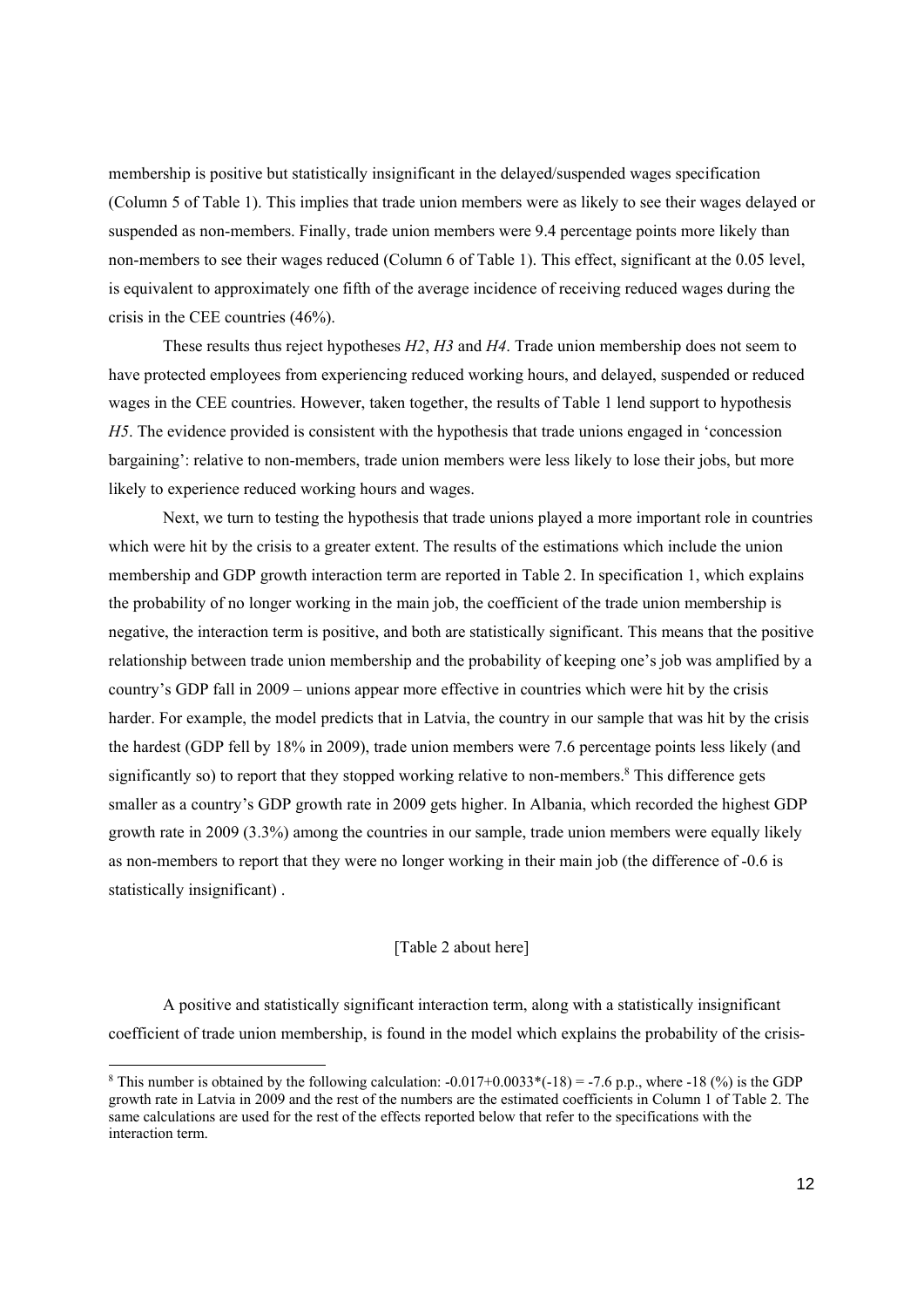membership is positive but statistically insignificant in the delayed/suspended wages specification (Column 5 of Table 1). This implies that trade union members were as likely to see their wages delayed or suspended as non-members. Finally, trade union members were 9.4 percentage points more likely than non-members to see their wages reduced (Column 6 of Table 1). This effect, significant at the 0.05 level, is equivalent to approximately one fifth of the average incidence of receiving reduced wages during the crisis in the CEE countries (46%).

These results thus reject hypotheses *H2*, *H3* and *H4*. Trade union membership does not seem to have protected employees from experiencing reduced working hours, and delayed, suspended or reduced wages in the CEE countries. However, taken together, the results of Table 1 lend support to hypothesis *H5*. The evidence provided is consistent with the hypothesis that trade unions engaged in 'concession bargaining': relative to non-members, trade union members were less likely to lose their jobs, but more likely to experience reduced working hours and wages.

Next, we turn to testing the hypothesis that trade unions played a more important role in countries which were hit by the crisis to a greater extent. The results of the estimations which include the union membership and GDP growth interaction term are reported in Table 2. In specification 1, which explains the probability of no longer working in the main job, the coefficient of the trade union membership is negative, the interaction term is positive, and both are statistically significant. This means that the positive relationship between trade union membership and the probability of keeping one's job was amplified by a country's GDP fall in 2009 – unions appear more effective in countries which were hit by the crisis harder. For example, the model predicts that in Latvia, the country in our sample that was hit by the crisis the hardest (GDP fell by 18% in 2009), trade union members were 7.6 percentage points less likely (and significantly so) to report that they stopped working relative to non-members.<sup>8</sup> This difference gets smaller as a country's GDP growth rate in 2009 gets higher. In Albania, which recorded the highest GDP growth rate in 2009 (3.3%) among the countries in our sample, trade union members were equally likely as non-members to report that they were no longer working in their main job (the difference of -0.6 is statistically insignificant) .

#### [Table 2 about here]

A positive and statistically significant interaction term, along with a statistically insignificant coefficient of trade union membership, is found in the model which explains the probability of the crisis-

-

<sup>&</sup>lt;sup>8</sup> This number is obtained by the following calculation:  $-0.017+0.0033*(-18) = -7.6$  p.p., where  $-18$  (%) is the GDP growth rate in Latvia in 2009 and the rest of the numbers are the estimated coefficients in Column 1 of Table 2. The same calculations are used for the rest of the effects reported below that refer to the specifications with the interaction term.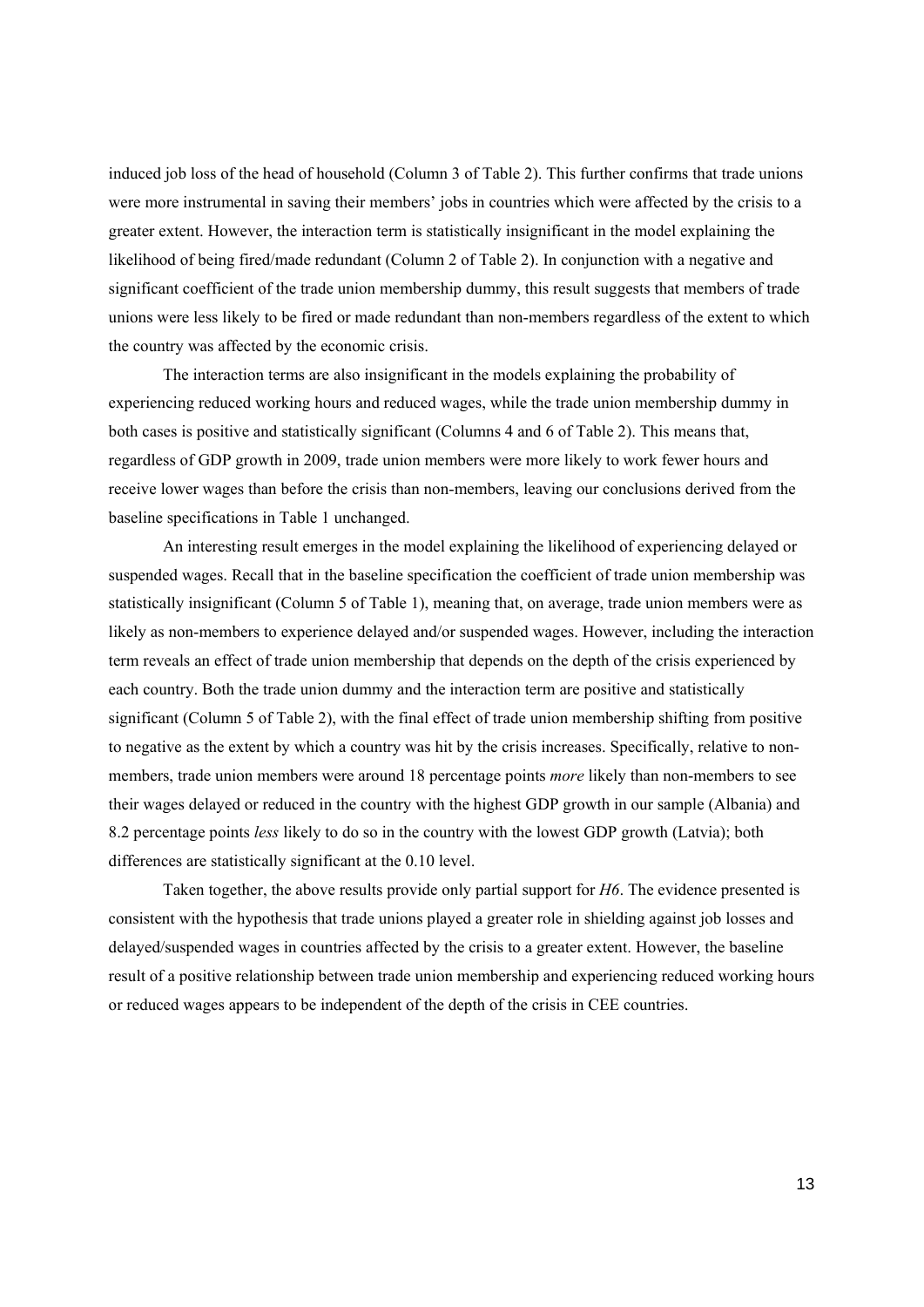induced job loss of the head of household (Column 3 of Table 2). This further confirms that trade unions were more instrumental in saving their members' jobs in countries which were affected by the crisis to a greater extent. However, the interaction term is statistically insignificant in the model explaining the likelihood of being fired/made redundant (Column 2 of Table 2). In conjunction with a negative and significant coefficient of the trade union membership dummy, this result suggests that members of trade unions were less likely to be fired or made redundant than non-members regardless of the extent to which the country was affected by the economic crisis.

The interaction terms are also insignificant in the models explaining the probability of experiencing reduced working hours and reduced wages, while the trade union membership dummy in both cases is positive and statistically significant (Columns 4 and 6 of Table 2). This means that, regardless of GDP growth in 2009, trade union members were more likely to work fewer hours and receive lower wages than before the crisis than non-members, leaving our conclusions derived from the baseline specifications in Table 1 unchanged.

An interesting result emerges in the model explaining the likelihood of experiencing delayed or suspended wages. Recall that in the baseline specification the coefficient of trade union membership was statistically insignificant (Column 5 of Table 1), meaning that, on average, trade union members were as likely as non-members to experience delayed and/or suspended wages. However, including the interaction term reveals an effect of trade union membership that depends on the depth of the crisis experienced by each country. Both the trade union dummy and the interaction term are positive and statistically significant (Column 5 of Table 2), with the final effect of trade union membership shifting from positive to negative as the extent by which a country was hit by the crisis increases. Specifically, relative to nonmembers, trade union members were around 18 percentage points *more* likely than non-members to see their wages delayed or reduced in the country with the highest GDP growth in our sample (Albania) and 8.2 percentage points *less* likely to do so in the country with the lowest GDP growth (Latvia); both differences are statistically significant at the 0.10 level.

Taken together, the above results provide only partial support for *H6*. The evidence presented is consistent with the hypothesis that trade unions played a greater role in shielding against job losses and delayed/suspended wages in countries affected by the crisis to a greater extent. However, the baseline result of a positive relationship between trade union membership and experiencing reduced working hours or reduced wages appears to be independent of the depth of the crisis in CEE countries.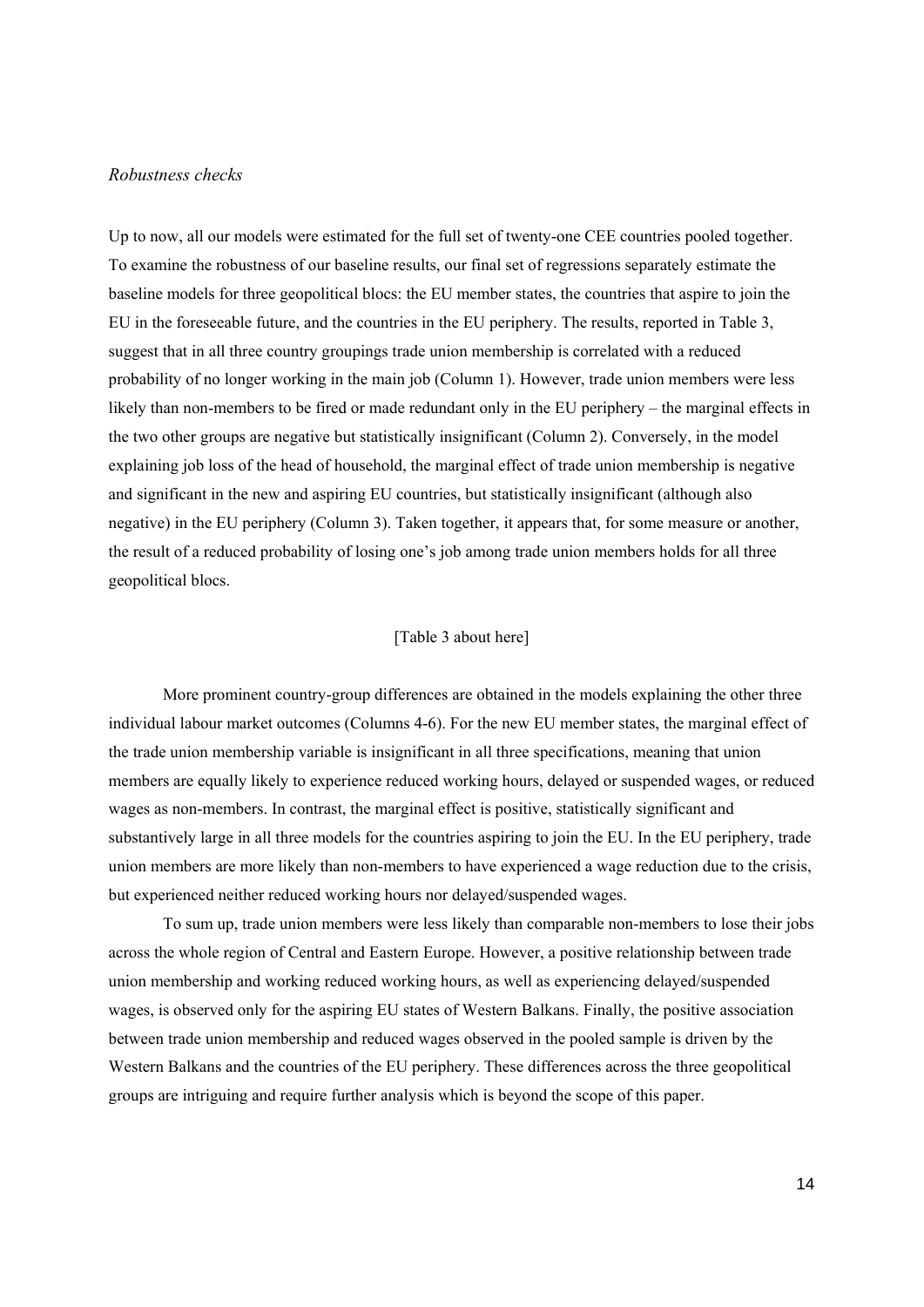#### *Robustness checks*

Up to now, all our models were estimated for the full set of twenty-one CEE countries pooled together. To examine the robustness of our baseline results, our final set of regressions separately estimate the baseline models for three geopolitical blocs: the EU member states, the countries that aspire to join the EU in the foreseeable future, and the countries in the EU periphery. The results, reported in Table 3, suggest that in all three country groupings trade union membership is correlated with a reduced probability of no longer working in the main job (Column 1). However, trade union members were less likely than non-members to be fired or made redundant only in the EU periphery – the marginal effects in the two other groups are negative but statistically insignificant (Column 2). Conversely, in the model explaining job loss of the head of household, the marginal effect of trade union membership is negative and significant in the new and aspiring EU countries, but statistically insignificant (although also negative) in the EU periphery (Column 3). Taken together, it appears that, for some measure or another, the result of a reduced probability of losing one's job among trade union members holds for all three geopolitical blocs.

#### [Table 3 about here]

More prominent country-group differences are obtained in the models explaining the other three individual labour market outcomes (Columns 4-6). For the new EU member states, the marginal effect of the trade union membership variable is insignificant in all three specifications, meaning that union members are equally likely to experience reduced working hours, delayed or suspended wages, or reduced wages as non-members. In contrast, the marginal effect is positive, statistically significant and substantively large in all three models for the countries aspiring to join the EU. In the EU periphery, trade union members are more likely than non-members to have experienced a wage reduction due to the crisis, but experienced neither reduced working hours nor delayed/suspended wages.

To sum up, trade union members were less likely than comparable non-members to lose their jobs across the whole region of Central and Eastern Europe. However, a positive relationship between trade union membership and working reduced working hours, as well as experiencing delayed/suspended wages, is observed only for the aspiring EU states of Western Balkans. Finally, the positive association between trade union membership and reduced wages observed in the pooled sample is driven by the Western Balkans and the countries of the EU periphery. These differences across the three geopolitical groups are intriguing and require further analysis which is beyond the scope of this paper.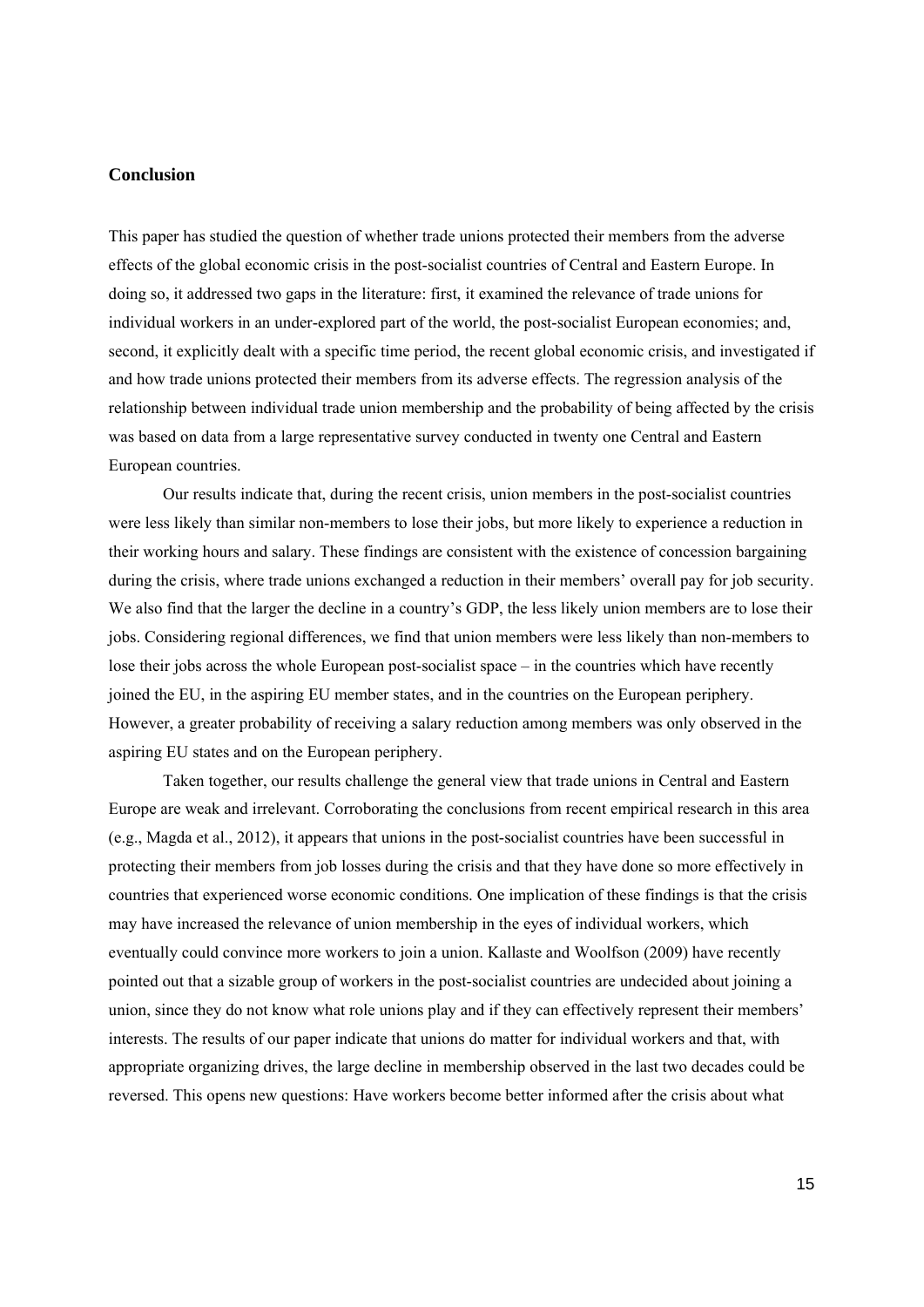#### **Conclusion**

This paper has studied the question of whether trade unions protected their members from the adverse effects of the global economic crisis in the post-socialist countries of Central and Eastern Europe. In doing so, it addressed two gaps in the literature: first, it examined the relevance of trade unions for individual workers in an under-explored part of the world, the post-socialist European economies; and, second, it explicitly dealt with a specific time period, the recent global economic crisis, and investigated if and how trade unions protected their members from its adverse effects. The regression analysis of the relationship between individual trade union membership and the probability of being affected by the crisis was based on data from a large representative survey conducted in twenty one Central and Eastern European countries.

Our results indicate that, during the recent crisis, union members in the post-socialist countries were less likely than similar non-members to lose their jobs, but more likely to experience a reduction in their working hours and salary. These findings are consistent with the existence of concession bargaining during the crisis, where trade unions exchanged a reduction in their members' overall pay for job security. We also find that the larger the decline in a country's GDP, the less likely union members are to lose their jobs. Considering regional differences, we find that union members were less likely than non-members to lose their jobs across the whole European post-socialist space – in the countries which have recently joined the EU, in the aspiring EU member states, and in the countries on the European periphery. However, a greater probability of receiving a salary reduction among members was only observed in the aspiring EU states and on the European periphery.

Taken together, our results challenge the general view that trade unions in Central and Eastern Europe are weak and irrelevant. Corroborating the conclusions from recent empirical research in this area (e.g., Magda et al., 2012), it appears that unions in the post-socialist countries have been successful in protecting their members from job losses during the crisis and that they have done so more effectively in countries that experienced worse economic conditions. One implication of these findings is that the crisis may have increased the relevance of union membership in the eyes of individual workers, which eventually could convince more workers to join a union. Kallaste and Woolfson (2009) have recently pointed out that a sizable group of workers in the post-socialist countries are undecided about joining a union, since they do not know what role unions play and if they can effectively represent their members' interests. The results of our paper indicate that unions do matter for individual workers and that, with appropriate organizing drives, the large decline in membership observed in the last two decades could be reversed. This opens new questions: Have workers become better informed after the crisis about what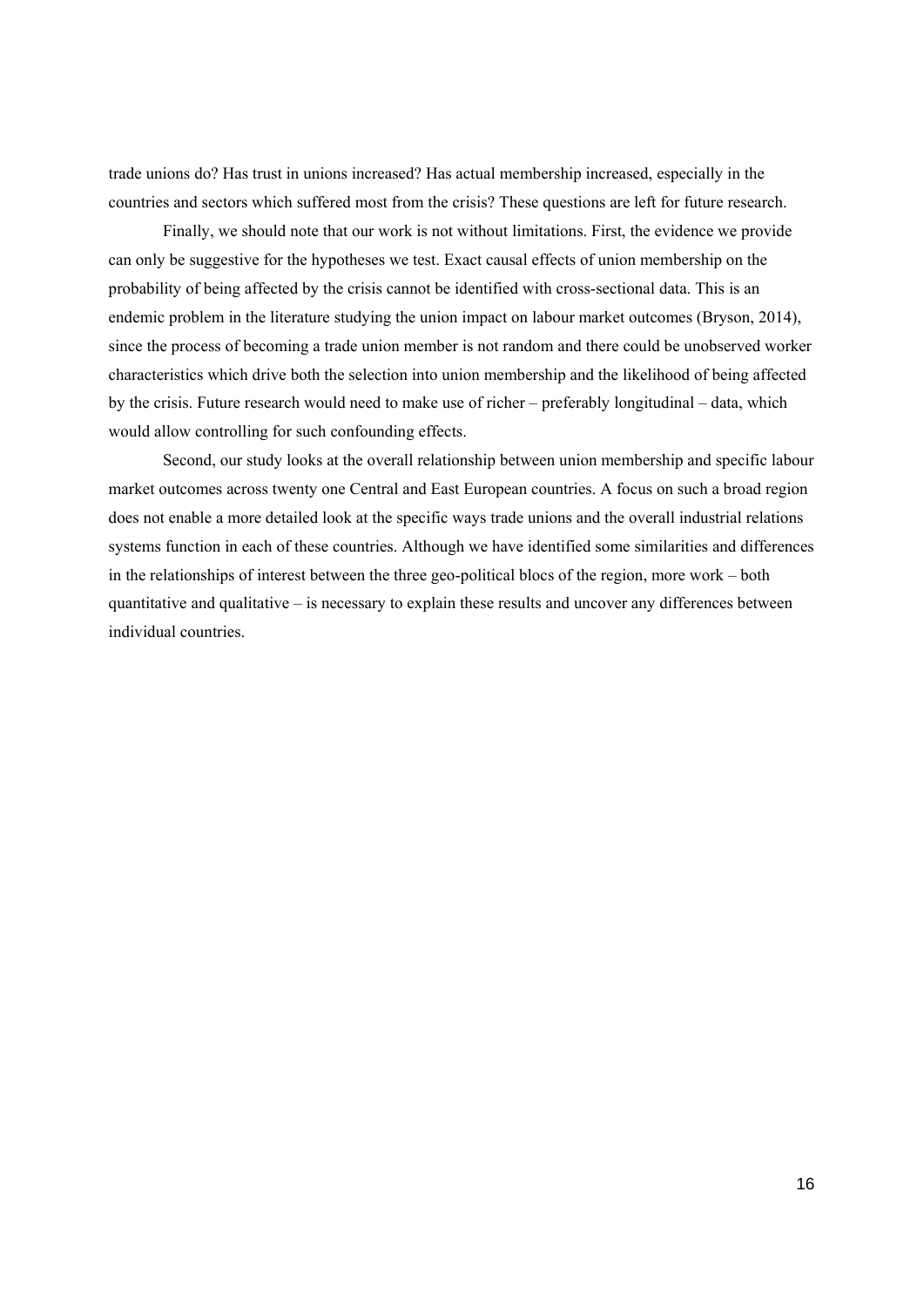trade unions do? Has trust in unions increased? Has actual membership increased, especially in the countries and sectors which suffered most from the crisis? These questions are left for future research.

Finally, we should note that our work is not without limitations. First, the evidence we provide can only be suggestive for the hypotheses we test. Exact causal effects of union membership on the probability of being affected by the crisis cannot be identified with cross-sectional data. This is an endemic problem in the literature studying the union impact on labour market outcomes (Bryson, 2014), since the process of becoming a trade union member is not random and there could be unobserved worker characteristics which drive both the selection into union membership and the likelihood of being affected by the crisis. Future research would need to make use of richer – preferably longitudinal – data, which would allow controlling for such confounding effects.

Second, our study looks at the overall relationship between union membership and specific labour market outcomes across twenty one Central and East European countries. A focus on such a broad region does not enable a more detailed look at the specific ways trade unions and the overall industrial relations systems function in each of these countries. Although we have identified some similarities and differences in the relationships of interest between the three geo-political blocs of the region, more work – both quantitative and qualitative – is necessary to explain these results and uncover any differences between individual countries.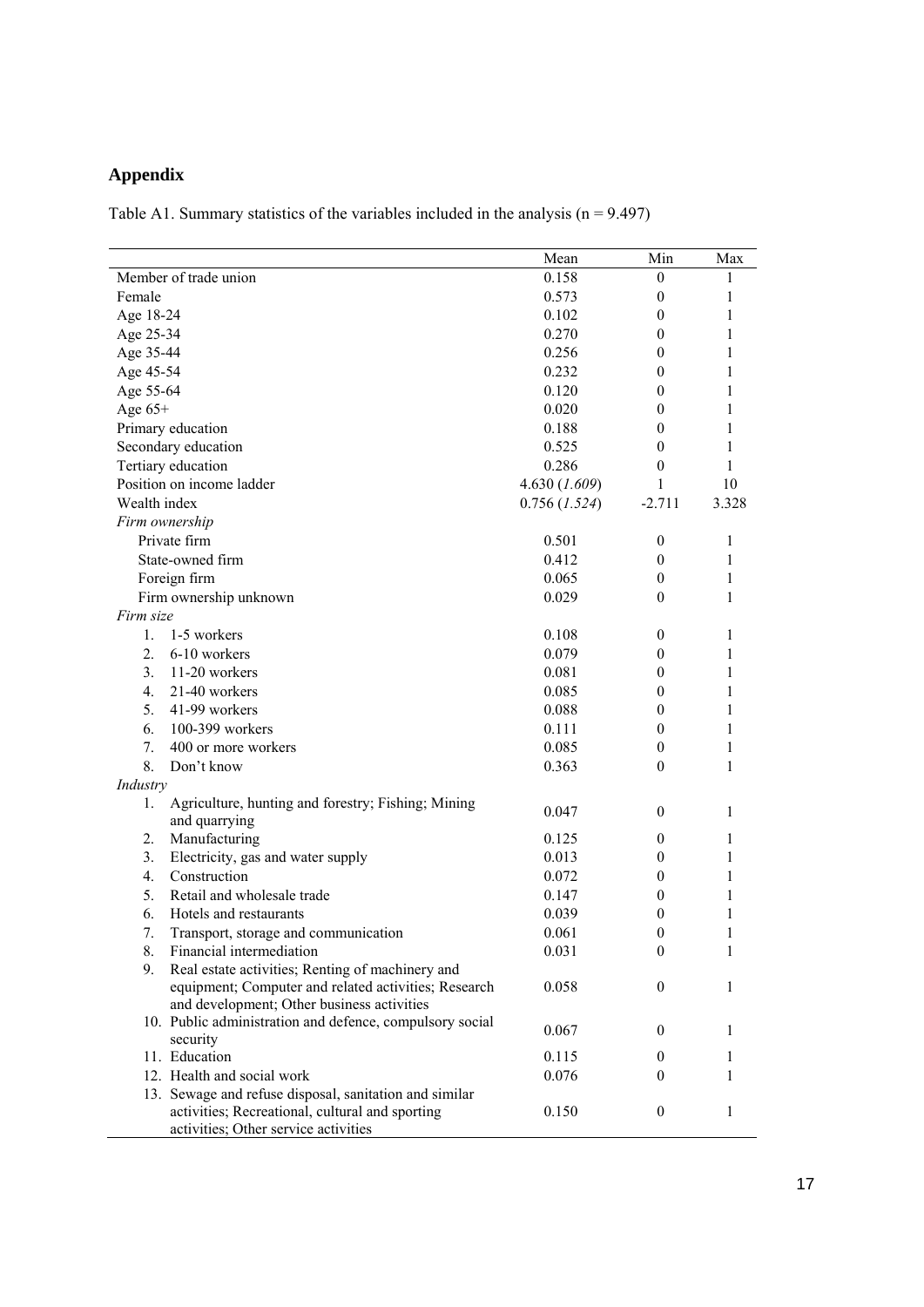## **Appendix**

Table A1. Summary statistics of the variables included in the analysis  $(n = 9.497)$ 

|                                                                                         | Mean            | Min              | Max   |
|-----------------------------------------------------------------------------------------|-----------------|------------------|-------|
| Member of trade union                                                                   | 0.158           | $\bf{0}$         | 1     |
| Female                                                                                  | 0.573           | $\theta$         | 1     |
| Age 18-24                                                                               | 0.102           | $\theta$         | 1     |
| Age 25-34                                                                               | 0.270           | $\theta$         | 1     |
| Age 35-44                                                                               | 0.256           | $\theta$         | 1     |
| Age 45-54                                                                               | 0.232           | $\theta$         | 1     |
| Age 55-64                                                                               | 0.120           | 0                | 1     |
| Age $65+$                                                                               | 0.020           | 0                | 1     |
| Primary education                                                                       | 0.188           | $\theta$         | 1     |
| Secondary education                                                                     | 0.525           | $\theta$         | 1     |
| Tertiary education                                                                      | 0.286           | $\theta$         | 1     |
| Position on income ladder                                                               | 4.630 (1.609)   | 1                | 10    |
| Wealth index                                                                            | $0.756$ (1.524) | $-2.711$         | 3.328 |
| Firm ownership                                                                          |                 |                  |       |
| Private firm                                                                            | 0.501           | $\bf{0}$         | 1     |
| State-owned firm                                                                        | 0.412           | $\mathbf{0}$     | 1     |
| Foreign firm                                                                            | 0.065           | $\theta$         | 1     |
| Firm ownership unknown                                                                  | 0.029           | $\theta$         | 1     |
| Firm size                                                                               |                 |                  |       |
| 1-5 workers<br>$1_{-}$                                                                  | 0.108           | $\mathbf{0}$     | 1     |
| 6-10 workers<br>2.                                                                      | 0.079           | $\theta$         | 1     |
| 3 <sub>1</sub><br>11-20 workers                                                         | 0.081           | $\theta$         | 1     |
| 21-40 workers<br>4.                                                                     | 0.085           | $\theta$         | 1     |
| 5.<br>41-99 workers                                                                     | 0.088           | $\theta$         | 1     |
| 100-399 workers<br>6.                                                                   | 0.111           | $\theta$         | 1     |
| 7.<br>400 or more workers                                                               | 0.085           | $\theta$         | 1     |
| 8.<br>Don't know                                                                        | 0.363           | $\theta$         | 1     |
| Industry                                                                                |                 |                  |       |
| Agriculture, hunting and forestry; Fishing; Mining<br>1.                                |                 |                  | 1     |
| and quarrying                                                                           | 0.047           | $\mathbf{0}$     |       |
| Manufacturing<br>2.                                                                     | 0.125           | $\theta$         | 1     |
| 3.<br>Electricity, gas and water supply                                                 | 0.013           | $\theta$         | 1     |
| Construction<br>$\overline{4}$ .                                                        | 0.072           | $\theta$         | 1     |
| Retail and wholesale trade<br>5.                                                        | 0.147           | $\theta$         | 1     |
| Hotels and restaurants<br>6.                                                            | 0.039           | $\boldsymbol{0}$ | 1     |
| 7.<br>Transport, storage and communication                                              | 0.061           | $\theta$         | 1     |
| Financial intermediation<br>8.                                                          | 0.031           | $\boldsymbol{0}$ | 1     |
| 9.<br>Real estate activities; Renting of machinery and                                  |                 |                  |       |
| equipment; Computer and related activities; Research                                    | 0.058           | $\theta$         | 1     |
| and development; Other business activities                                              |                 |                  |       |
| 10. Public administration and defence, compulsory social                                | 0.067           | $\overline{0}$   | 1     |
| security                                                                                |                 |                  |       |
| 11. Education                                                                           | 0.115           | $\mathbf{0}$     | 1     |
| 12. Health and social work                                                              | 0.076           | $\theta$         | 1     |
| 13. Sewage and refuse disposal, sanitation and similar                                  | 0.150           | $\mathbf{0}$     | 1     |
| activities; Recreational, cultural and sporting<br>activities; Other service activities |                 |                  |       |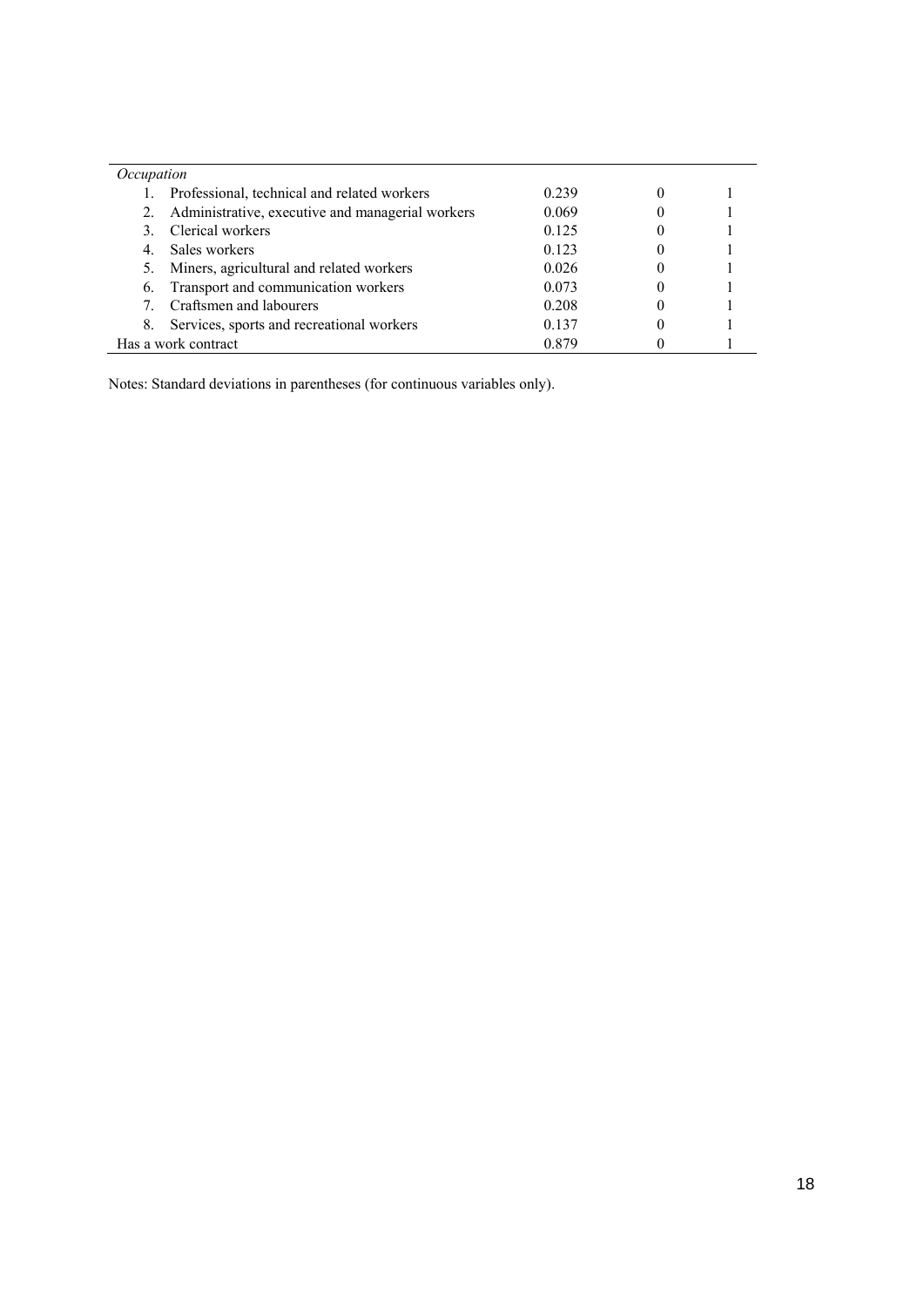| Occupation |                                                     |       |  |
|------------|-----------------------------------------------------|-------|--|
|            | Professional, technical and related workers         | 0.239 |  |
|            | 2. Administrative, executive and managerial workers | 0.069 |  |
|            | 3. Clerical workers                                 | 0.125 |  |
|            | Sales workers                                       | 0.123 |  |
|            | Miners, agricultural and related workers            | 0.026 |  |
| 6.         | Transport and communication workers                 | 0.073 |  |
|            | Craftsmen and labourers                             | 0.208 |  |
| 8.         | Services, sports and recreational workers           | 0.137 |  |
|            | Has a work contract                                 | 0.879 |  |

Notes: Standard deviations in parentheses (for continuous variables only).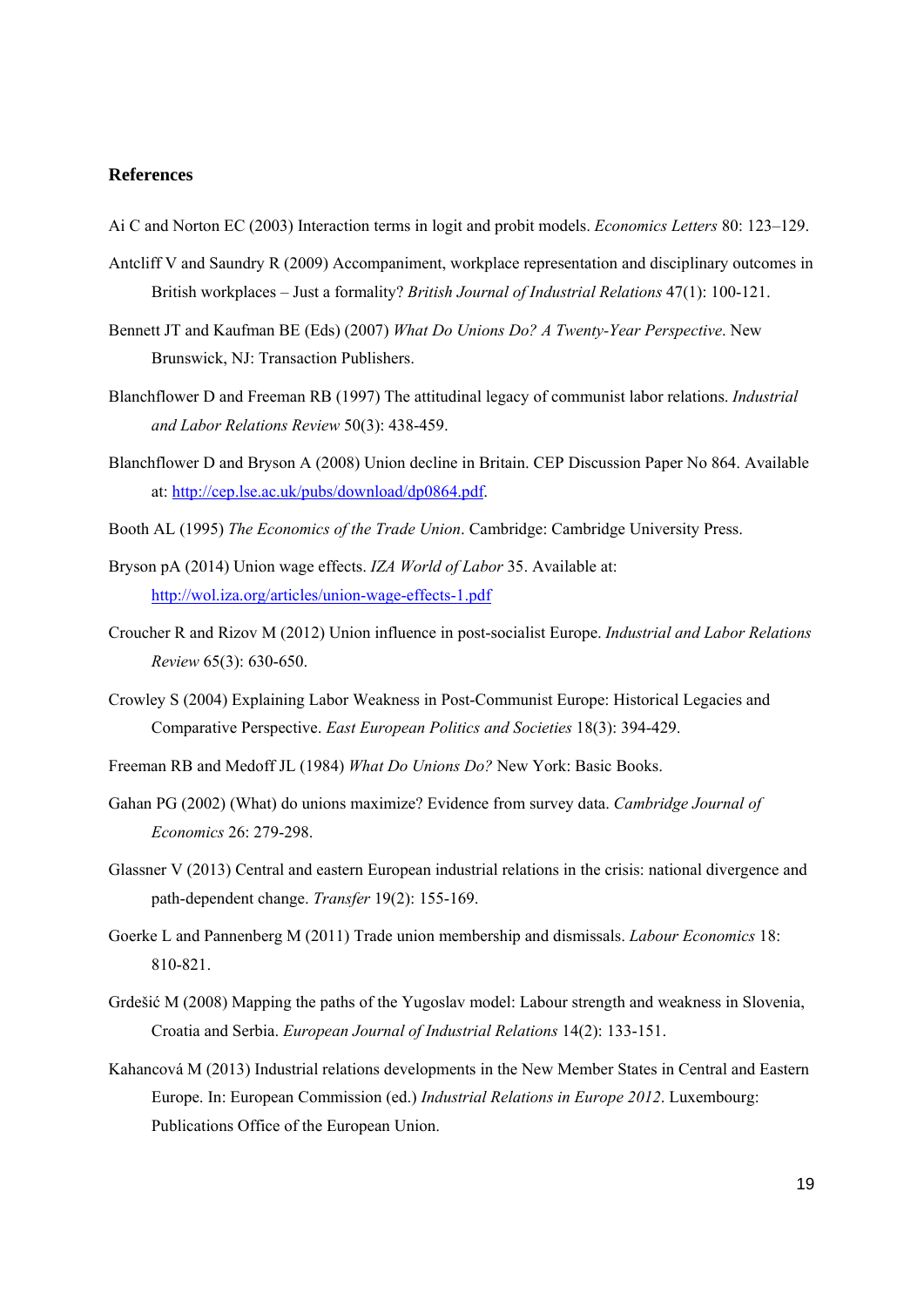#### **References**

Ai C and Norton EC (2003) Interaction terms in logit and probit models. *Economics Letters* 80: 123–129.

- Antcliff V and Saundry R (2009) Accompaniment, workplace representation and disciplinary outcomes in British workplaces – Just a formality? *British Journal of Industrial Relations* 47(1): 100-121.
- Bennett JT and Kaufman BE (Eds) (2007) *What Do Unions Do? A Twenty-Year Perspective*. New Brunswick, NJ: Transaction Publishers.
- Blanchflower D and Freeman RB (1997) The attitudinal legacy of communist labor relations. *Industrial and Labor Relations Review* 50(3): 438-459.
- Blanchflower D and Bryson A (2008) Union decline in Britain. CEP Discussion Paper No 864. Available at: http://cep.lse.ac.uk/pubs/download/dp0864.pdf.
- Booth AL (1995) *The Economics of the Trade Union*. Cambridge: Cambridge University Press.
- Bryson pA (2014) Union wage effects. *IZA World of Labor* 35. Available at: http://wol.iza.org/articles/union-wage-effects-1.pdf
- Croucher R and Rizov M (2012) Union influence in post-socialist Europe. *Industrial and Labor Relations Review* 65(3): 630-650.
- Crowley S (2004) Explaining Labor Weakness in Post-Communist Europe: Historical Legacies and Comparative Perspective. *East European Politics and Societies* 18(3): 394-429.
- Freeman RB and Medoff JL (1984) *What Do Unions Do?* New York: Basic Books.
- Gahan PG (2002) (What) do unions maximize? Evidence from survey data. *Cambridge Journal of Economics* 26: 279-298.
- Glassner V (2013) Central and eastern European industrial relations in the crisis: national divergence and path-dependent change. *Transfer* 19(2): 155-169.
- Goerke L and Pannenberg M (2011) Trade union membership and dismissals. *Labour Economics* 18: 810-821.
- Grdešić M (2008) Mapping the paths of the Yugoslav model: Labour strength and weakness in Slovenia, Croatia and Serbia. *European Journal of Industrial Relations* 14(2): 133-151.
- Kahancová M (2013) Industrial relations developments in the New Member States in Central and Eastern Europe. In: European Commission (ed.) *Industrial Relations in Europe 2012*. Luxembourg: Publications Office of the European Union.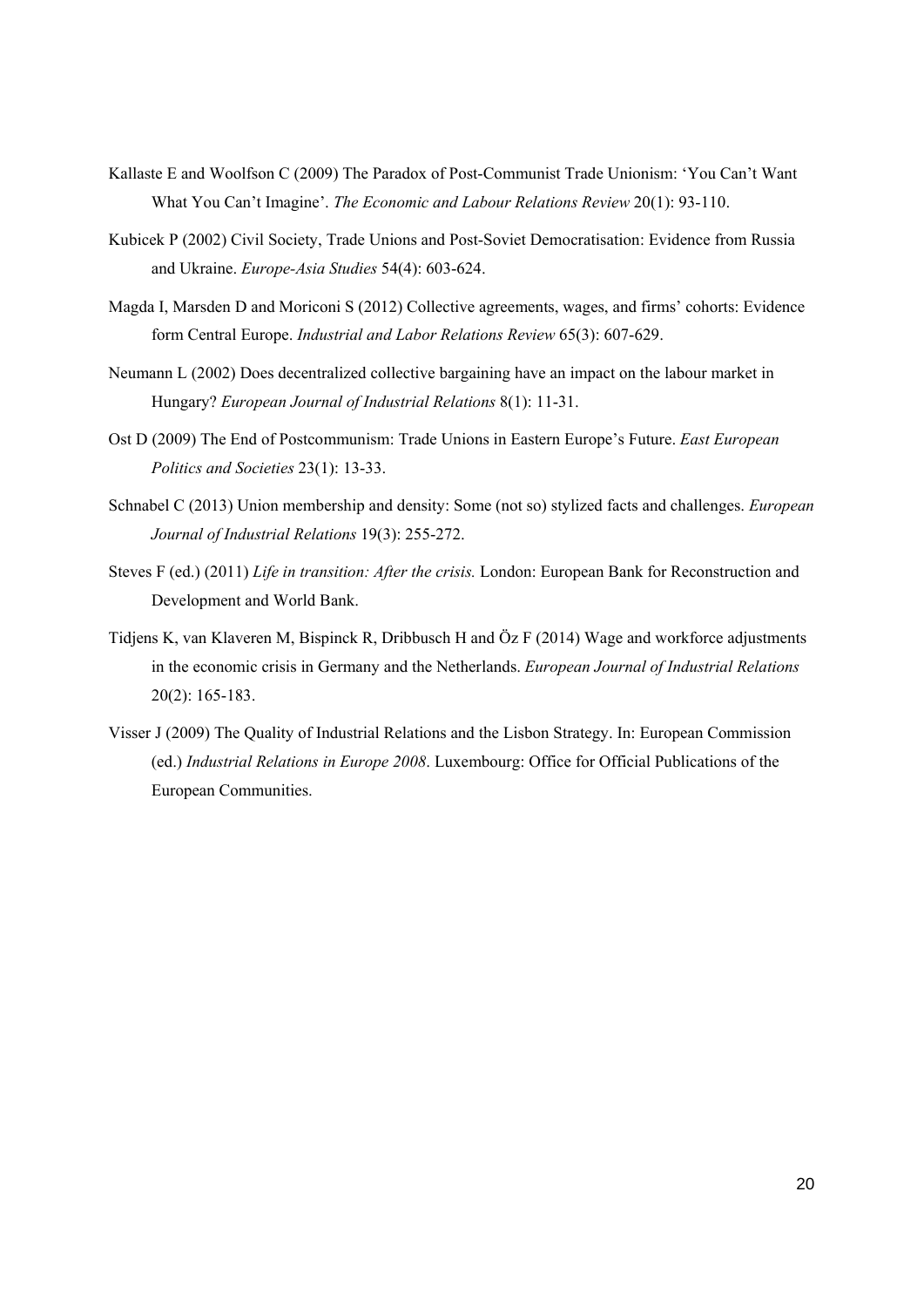- Kallaste E and Woolfson C (2009) The Paradox of Post-Communist Trade Unionism: 'You Can't Want What You Can't Imagine'. *The Economic and Labour Relations Review* 20(1): 93-110.
- Kubicek P (2002) Civil Society, Trade Unions and Post-Soviet Democratisation: Evidence from Russia and Ukraine. *Europe-Asia Studies* 54(4): 603-624.
- Magda I, Marsden D and Moriconi S (2012) Collective agreements, wages, and firms' cohorts: Evidence form Central Europe. *Industrial and Labor Relations Review* 65(3): 607-629.
- Neumann L (2002) Does decentralized collective bargaining have an impact on the labour market in Hungary? *European Journal of Industrial Relations* 8(1): 11-31.
- Ost D (2009) The End of Postcommunism: Trade Unions in Eastern Europe's Future. *East European Politics and Societies* 23(1): 13-33.
- Schnabel C (2013) Union membership and density: Some (not so) stylized facts and challenges. *European Journal of Industrial Relations* 19(3): 255-272.
- Steves F (ed.) (2011) *Life in transition: After the crisis.* London: European Bank for Reconstruction and Development and World Bank.
- Tidjens K, van Klaveren M, Bispinck R, Dribbusch H and Öz F (2014) Wage and workforce adjustments in the economic crisis in Germany and the Netherlands. *European Journal of Industrial Relations* 20(2): 165-183.
- Visser J (2009) The Quality of Industrial Relations and the Lisbon Strategy. In: European Commission (ed.) *Industrial Relations in Europe 2008*. Luxembourg: Office for Official Publications of the European Communities.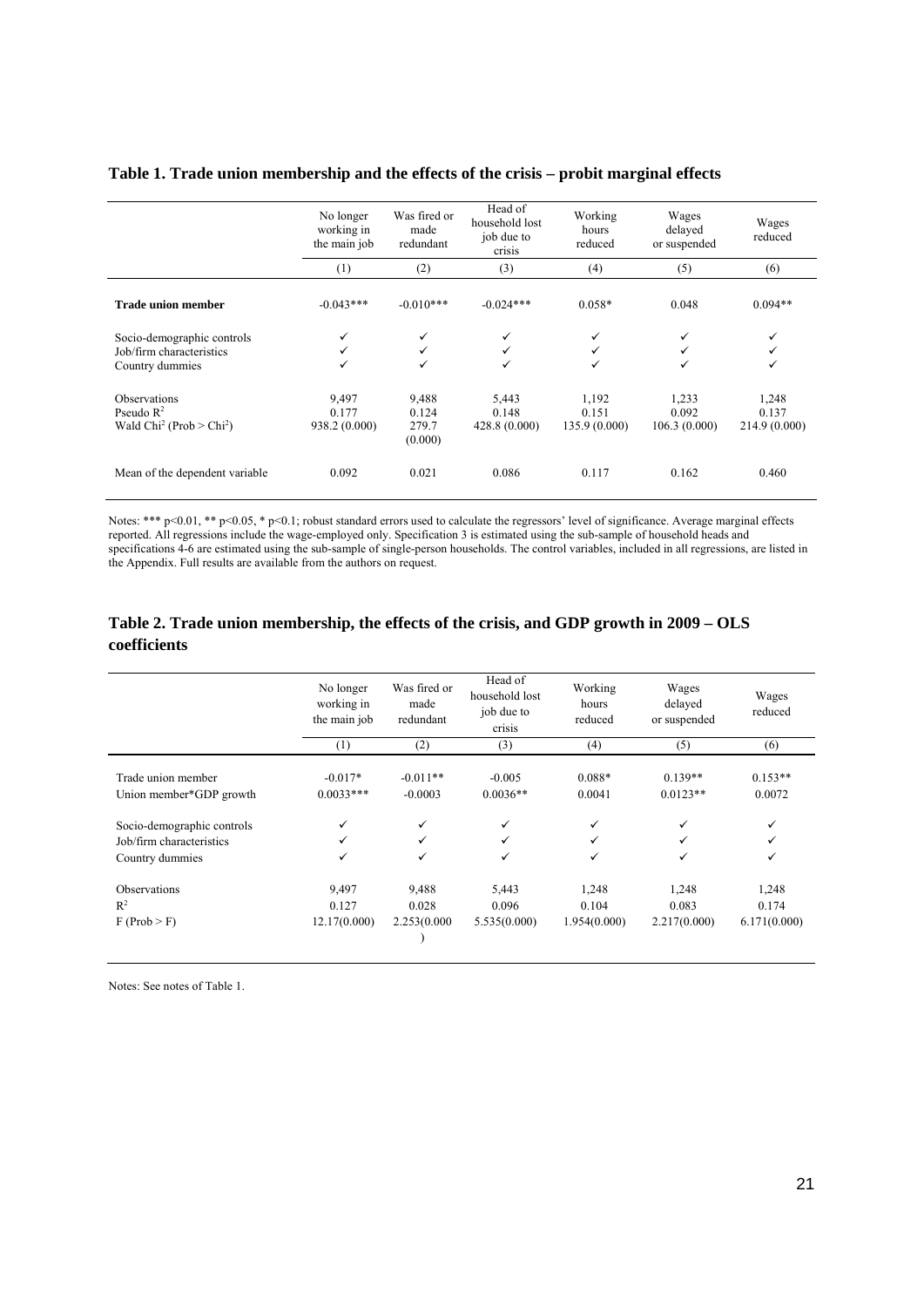#### **Table 1. Trade union membership and the effects of the crisis – probit marginal effects**

|                                                                           | No longer<br>working in<br>the main job | Was fired or<br>made<br>redundant  | Head of<br>household lost<br>job due to<br>crisis | Working<br>hours<br>reduced    | Wages<br>delayed<br>or suspended | Wages<br>reduced                |
|---------------------------------------------------------------------------|-----------------------------------------|------------------------------------|---------------------------------------------------|--------------------------------|----------------------------------|---------------------------------|
|                                                                           | (1)                                     | (2)                                | (3)                                               | (4)                            | (5)                              | (6)                             |
| <b>Trade union member</b>                                                 | $-0.043***$                             | $-0.010***$                        | $-0.024***$                                       | $0.058*$                       | 0.048                            | $0.094**$                       |
| Socio-demographic controls<br>Job/firm characteristics<br>Country dummies | $\checkmark$<br>✓<br>$\checkmark$       | ✓<br>✓<br>✓                        | ✓<br>✓<br>✓                                       | ✓<br>✓                         |                                  | ✓<br>✓<br>✓                     |
| <b>Observations</b><br>Pseudo $R^2$<br>Wald $Chi2$ (Prob $> Chi2$ )       | 9,497<br>0.177<br>938.2 (0.000)         | 9,488<br>0.124<br>279.7<br>(0.000) | 5,443<br>0.148<br>428.8(0.000)                    | 1,192<br>0.151<br>135.9(0.000) | 1,233<br>0.092<br>106.3(0.000)   | 1,248<br>0.137<br>214.9 (0.000) |
| Mean of the dependent variable                                            | 0.092                                   | 0.021                              | 0.086                                             | 0.117                          | 0.162                            | 0.460                           |

Notes: \*\*\* p<0.01, \*\* p<0.05, \* p<0.1; robust standard errors used to calculate the regressors' level of significance. Average marginal effects reported. All regressions include the wage-employed only. Specification 3 is estimated using the sub-sample of household heads and specifications 4-6 are estimated using the sub-sample of single-person households. The control variables, included in all regressions, are listed in the Appendix. Full results are available from the authors on request.

#### **Table 2. Trade union membership, the effects of the crisis, and GDP growth in 2009 – OLS coefficients**

|                            | No longer<br>working in<br>the main job | Was fired or<br>made<br>redundant | Head of<br>household lost<br>job due to<br>crisis | Working<br>hours<br>reduced | Wages<br>delayed<br>or suspended | Wages<br>reduced |
|----------------------------|-----------------------------------------|-----------------------------------|---------------------------------------------------|-----------------------------|----------------------------------|------------------|
|                            | (1)                                     | (2)                               | (3)                                               | (4)                         | (5)                              | (6)              |
| Trade union member         | $-0.017*$                               | $-0.011**$                        | $-0.005$                                          | $0.088*$                    | $0.139**$                        | $0.153**$        |
| Union member*GDP growth    | $0.0033***$                             | $-0.0003$                         | $0.0036**$                                        | 0.0041                      | $0.0123**$                       | 0.0072           |
| Socio-demographic controls | ✓                                       | ✓                                 | ✓                                                 | ✓                           | ✓                                | $\checkmark$     |
| Job/firm characteristics   | ✓                                       | $\checkmark$                      | ✓                                                 | ✓                           | ✓                                | ✓                |
| Country dummies            | ✓                                       | ✓                                 | ✓                                                 | ✓                           | ✓                                | ✓                |
| Observations               | 9,497                                   | 9,488                             | 5,443                                             | 1,248                       | 1,248                            | 1,248            |
| $R^2$                      | 0.127                                   | 0.028                             | 0.096                                             | 0.104                       | 0.083                            | 0.174            |
| F (Prob > F)               | 12.17(0.000)                            | 2.253(0.000                       | 5.535(0.000)                                      | 1.954(0.000)                | 2.217(0.000)                     | 6.171(0.000)     |

Notes: See notes of Table 1.